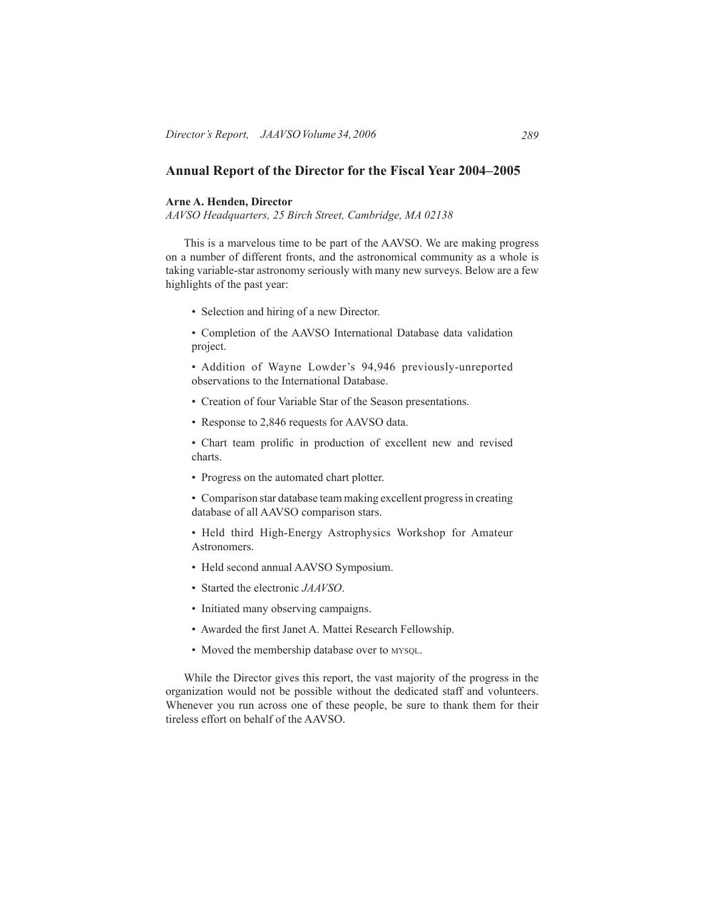# **Annual Report of the Director for the Fiscal Year 2004–2005**

# **Arne A. Henden, Director**

*AAVSO Headquarters, 25 Birch Street, Cambridge, MA 02138*

 This is a marvelous time to be part of the AAVSO. We are making progress on a number of different fronts, and the astronomical community as a whole is taking variable-star astronomy seriously with many new surveys. Below are a few highlights of the past year:

• Selection and hiring of a new Director.

• Completion of the AAVSO International Database data validation project.

• Addition of Wayne Lowder's 94,946 previously-unreported observations to the International Database.

- Creation of four Variable Star of the Season presentations.
- Response to 2,846 requests for AAVSO data.

• Chart team prolific in production of excellent new and revised charts.

• Progress on the automated chart plotter.

• Comparison star database team making excellent progress in creating database of all AAVSO comparison stars.

• Held third High-Energy Astrophysics Workshop for Amateur Astronomers.

- Held second annual AAVSO Symposium.
- Started the electronic *JAAVSO*.
- Initiated many observing campaigns.
- Awarded the first Janet A. Mattei Research Fellowship.
- Moved the membership database over to MYSQL.

 While the Director gives this report, the vast majority of the progress in the organization would not be possible without the dedicated staff and volunteers. Whenever you run across one of these people, be sure to thank them for their tireless effort on behalf of the AAVSO.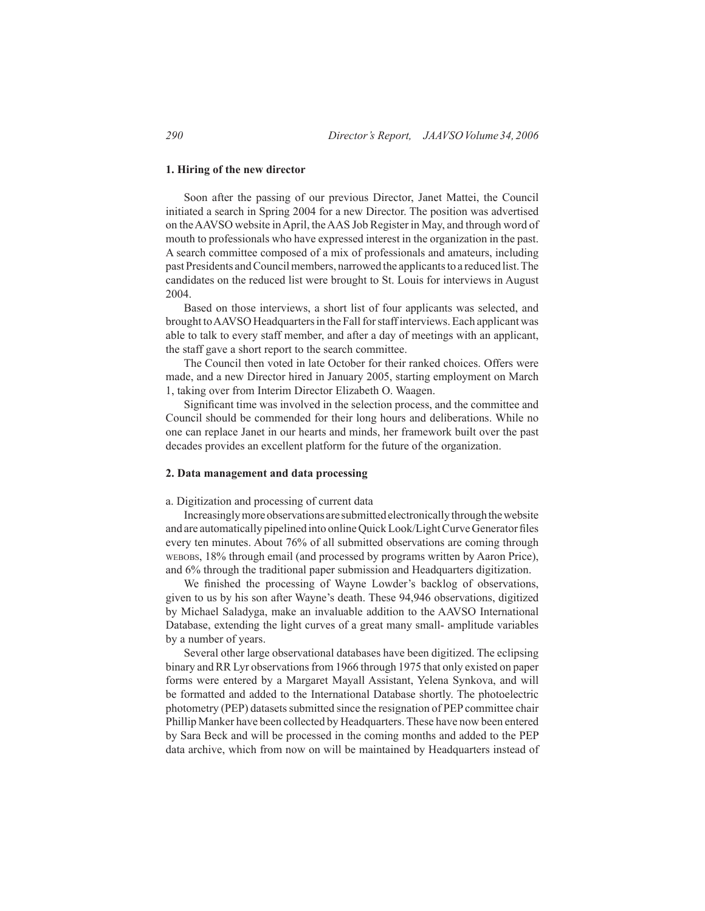# **1. Hiring of the new director**

Soon after the passing of our previous Director, Janet Mattei, the Council initiated a search in Spring 2004 for a new Director. The position was advertised on theAAVSO website inApril, theAAS Job Register in May, and through word of mouth to professionals who have expressed interest in the organization in the past. A search committee composed of a mix of professionals and amateurs, including past Presidents and Council members, narrowed the applicants to a reduced list. The candidates on the reduced list were brought to St. Louis for interviews in August 2004.

 Based on those interviews, a short list of four applicants was selected, and brought toAAVSO Headquartersin the Fallforstaffinterviews.Each applicant was able to talk to every staff member, and after a day of meetings with an applicant, the staff gave a short report to the search committee.

 The Council then voted in late October for their ranked choices. Offers were made, and a new Director hired in January 2005, starting employment on March 1, taking over from Interim Director Elizabeth O. Waagen.

Significant time was involved in the selection process, and the committee and Council should be commended for their long hours and deliberations. While no one can replace Janet in our hearts and minds, her framework built over the past decades provides an excellent platform for the future of the organization.

# **2. Data management and data processing**

# a. Digitization and processing of current data

Increasingly more observations are submitted electronically through the website and are automatically pipelined into onlineQuickLook/LightCurveGenerator files every ten minutes. About 76% of all submitted observations are coming through webobs, 18% through email (and processed by programs written by Aaron Price), and 6% through the traditional paper submission and Headquarters digitization.

We finished the processing of Wayne Lowder's backlog of observations, given to us by his son after Wayne's death. These 94,946 observations, digitized by Michael Saladyga, make an invaluable addition to the AAVSO International Database, extending the light curves of a great many small- amplitude variables by a number of years.

 Several other large observational databases have been digitized. The eclipsing binary and RR Lyr observationsfrom 1966 through 1975 that only existed on paper forms were entered by a Margaret Mayall Assistant, Yelena Synkova, and will be formatted and added to the International Database shortly. The photoelectric photometry (PEP) datasets submitted since the resignation of PEP committee chair Phillip Manker have been collected by Headquarters.These have now been entered by Sara Beck and will be processed in the coming months and added to the PEP data archive, which from now on will be maintained by Headquarters instead of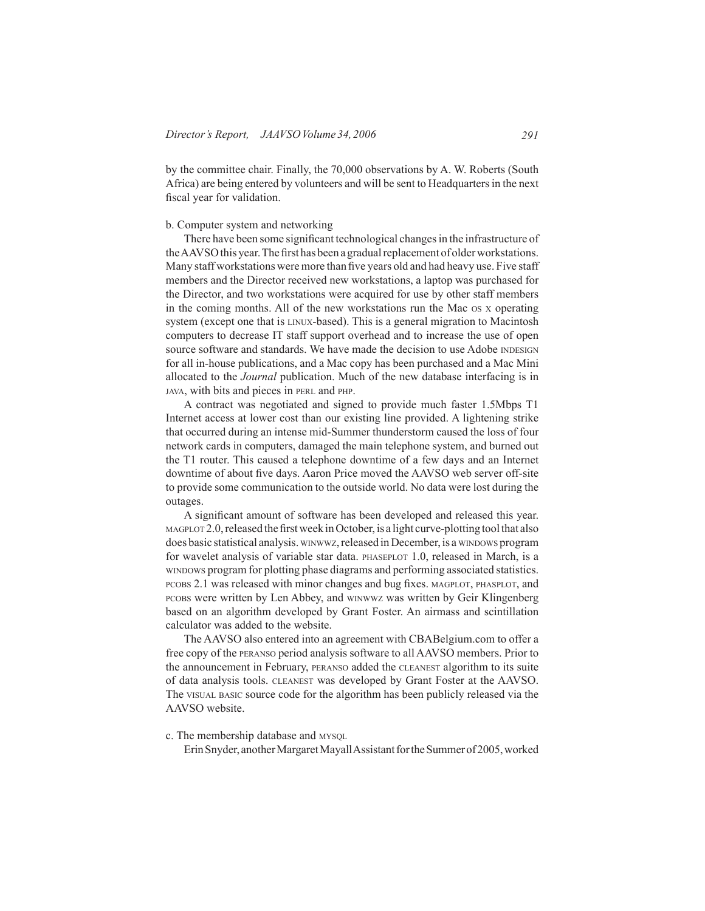by the committee chair. Finally, the 70,000 observations by A. W. Roberts (South Africa) are being entered by volunteers and will be sent to Headquarters in the next fiscal year for validation.

# b. Computer system and networking

There have been some significant technological changes in the infrastructure of the AAVSO this year. The first has been a gradual replacement of older workstations. Many staff workstations were more than five years old and had heavy use. Five staff members and the Director received new workstations, a laptop was purchased for the Director, and two workstations were acquired for use by other staff members in the coming months. All of the new workstations run the Mac os <sup>x</sup> operating system (except one that is LINUX-based). This is a general migration to Macintosh computers to decrease IT staff support overhead and to increase the use of open source software and standards. We have made the decision to use Adobe INDESIGN for all in-house publications, and a Mac copy has been purchased and a Mac Mini allocated to the *Journal* publication. Much of the new database interfacing is in java, with bits and pieces in perl and php.

A contract was negotiated and signed to provide much faster 1.5Mbps T1 Internet access at lower cost than our existing line provided. A lightening strike that occurred during an intense mid-Summer thunderstorm caused the loss of four network cards in computers, damaged the main telephone system, and burned out the T1 router. This caused a telephone downtime of a few days and an Internet downtime of about five days. Aaron Price moved the AAVSO web server off-site to provide some communication to the outside world. No data were lost during the outages.

A significant amount of software has been developed and released this year.  $MAGPLOT 2.0$ , released the first week in October, is a light curve-plotting tool that also does basic statistical analysis. winwwz, released in December, is a windows program for wavelet analysis of variable star data. PHASEPLOT 1.0, released in March, is a windows program for plotting phase diagrams and performing associated statistics. pcobs 2.1 was released with minor changes and bug fixes. magplot, phasplot, and pcobs were written by Len Abbey, and winwwz was written by Geir Klingenberg based on an algorithm developed by Grant Foster. An airmass and scintillation calculator was added to the website.

 The AAVSO also entered into an agreement with CBABelgium.com to offer a free copy of the peranso period analysis software to all AAVSO members. Prior to the announcement in February, peranso added the cleanest algorithm to its suite of data analysis tools. cleanest was developed by Grant Foster at the AAVSO. The visual basic source code for the algorithm has been publicly released via the AAVSO website.

c. The membership database and MYSQL

Erin Snyder, another Margaret Mayall Assistant for the Summer of 2005, worked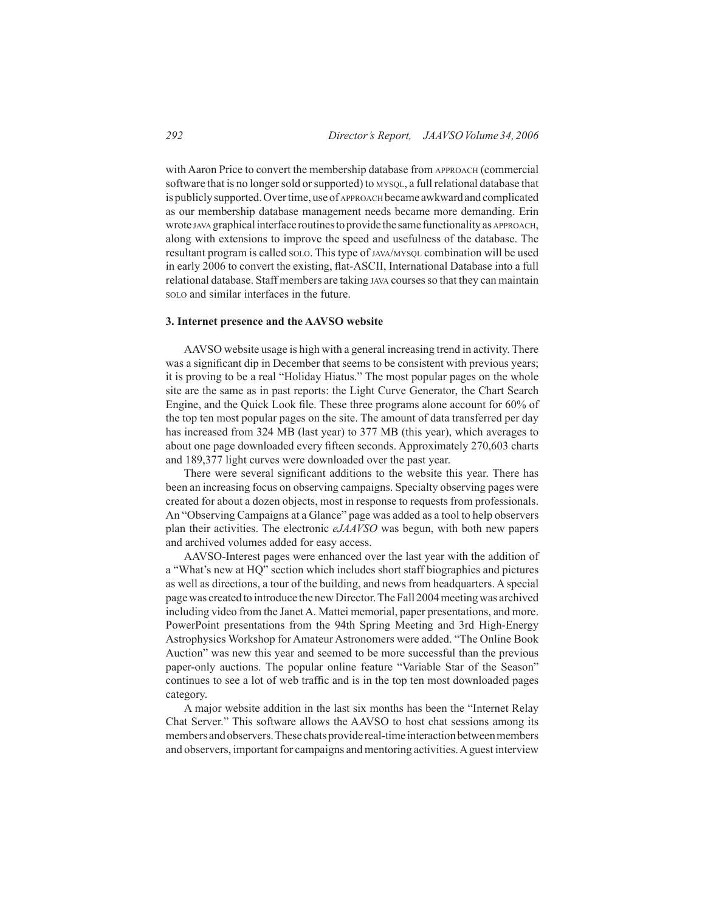with Aaron Price to convert the membership database from APPROACH (commercial software that is no longer sold or supported) to MYSQL, a full relational database that ispubliclysupported.Overtime,useof approach became awkwardandcomplicated as our membership database management needs became more demanding. Erin wrote java graphical interface routines to provide the same functionality as APPROACH, along with extensions to improve the speed and usefulness of the database. The resultant program is called solo. This type of JAVA/MYSQL combination will be used in early 2006 to convert the existing, flat-ASCII, International Database into a full relational database. Staff members are taking java coursesso that they can maintain solo and similar interfaces in the future.

# **3. Internet presence and the AAVSO website**

 AAVSO website usage is high with a general increasing trend in activity. There was a significant dip in December that seems to be consistent with previous years; it is proving to be a real "Holiday Hiatus." The most popular pages on the whole site are the same as in past reports: the Light Curve Generator, the Chart Search Engine, and the Quick Look file. These three programs alone account for 60% of the top ten most popular pages on the site. The amount of data transferred per day has increased from 324 MB (last year) to 377 MB (this year), which averages to about one page downloaded every fifteen seconds. Approximately 270,603 charts and 189,377 light curves were downloaded over the past year.

There were several significant additions to the website this year. There has been an increasing focus on observing campaigns. Specialty observing pages were created for about a dozen objects, most in response to requests from professionals. An "Observing Campaigns at a Glance" page was added as a tool to help observers plan their activities. The electronic *eJAAVSO* was begun, with both new papers and archived volumes added for easy access.

 AAVSO-Interest pages were enhanced over the last year with the addition of a "What's new at HQ" section which includes short staff biographies and pictures as well as directions, a tour of the building, and news from headquarters. A special pagewas created to introduce the newDirector.TheFall 2004meetingwas archived including video from the Janet A. Mattei memorial, paper presentations, and more. PowerPoint presentations from the 94th Spring Meeting and 3rd High-Energy Astrophysics Workshop for Amateur Astronomers were added. "The Online Book Auction" was new this year and seemed to be more successful than the previous paper-only auctions. The popular online feature "Variable Star of the Season" continues to see a lot of web traffic and is in the top ten most downloaded pages category.

A major website addition in the last six months has been the "Internet Relay Chat Server." This software allows the AAVSO to host chat sessions among its members and observers. These chats provide real-time interaction between members and observers, important for campaigns and mentoring activities. A guest interview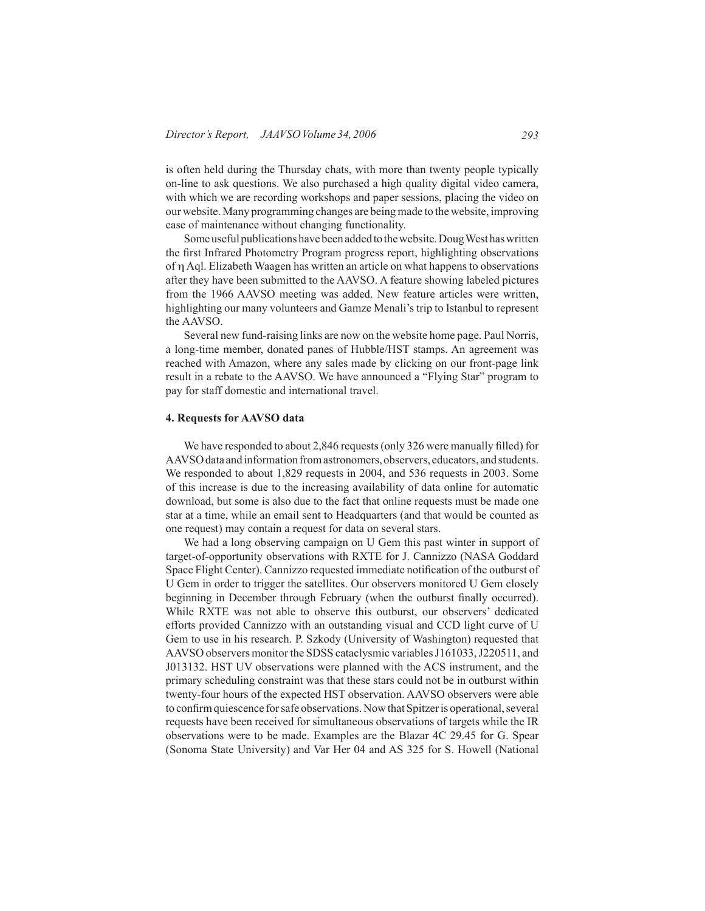is often held during the Thursday chats, with more than twenty people typically on-line to ask questions. We also purchased a high quality digital video camera, with which we are recording workshops and paper sessions, placing the video on our website. Many programming changes are beingmade to the website, improving ease of maintenance without changing functionality.

Some useful publications have been added to the website. Doug West has written the first Infrared Photometry Program progress report, highlighting observations of η Aql. Elizabeth Waagen has written an article on what happens to observations after they have been submitted to the AAVSO. A feature showing labeled pictures from the 1966 AAVSO meeting was added. New feature articles were written, highlighting our many volunteers and Gamze Menali's trip to Istanbul to represent the AAVSO.

 Several new fund-raising links are now on the website home page. Paul Norris, a long-time member, donated panes of Hubble/HST stamps. An agreement was reached with Amazon, where any sales made by clicking on our front-page link result in a rebate to the AAVSO. We have announced a "Flying Star" program to pay for staff domestic and international travel.

#### **4. Requests for AAVSO data**

We have responded to about 2,846 requests (only 326 were manually filled) for AAVSO data and information from astronomers, observers, educators, and students. We responded to about 1,829 requests in 2004, and 536 requests in 2003. Some of this increase is due to the increasing availability of data online for automatic download, but some is also due to the fact that online requests must be made one star at a time, while an email sent to Headquarters (and that would be counted as one request) may contain a request for data on several stars.

 We had a long observing campaign on U Gem this past winter in support of target-of-opportunity observations with RXTE for J. Cannizzo (NASA Goddard Space Flight Center). Cannizzo requested immediate notification of the outburst of U Gem in order to trigger the satellites. Our observers monitored U Gem closely beginning in December through February (when the outburst finally occurred). While RXTE was not able to observe this outburst, our observers' dedicated efforts provided Cannizzo with an outstanding visual and CCD light curve of U Gem to use in his research. P. Szkody (University of Washington) requested that AAVSO observers monitor the SDSS cataclysmic variables J161033, J220511, and J013132. HST UV observations were planned with the ACS instrument, and the primary scheduling constraint was that these stars could not be in outburst within twenty-four hours of the expected HST observation. AAVSO observers were able to confirm quiescence for safe observations. Now that Spitzer is operational, several requests have been received for simultaneous observations of targets while the IR observations were to be made. Examples are the Blazar 4C 29.45 for G. Spear (Sonoma State University) and Var Her 04 and AS 325 for S. Howell (National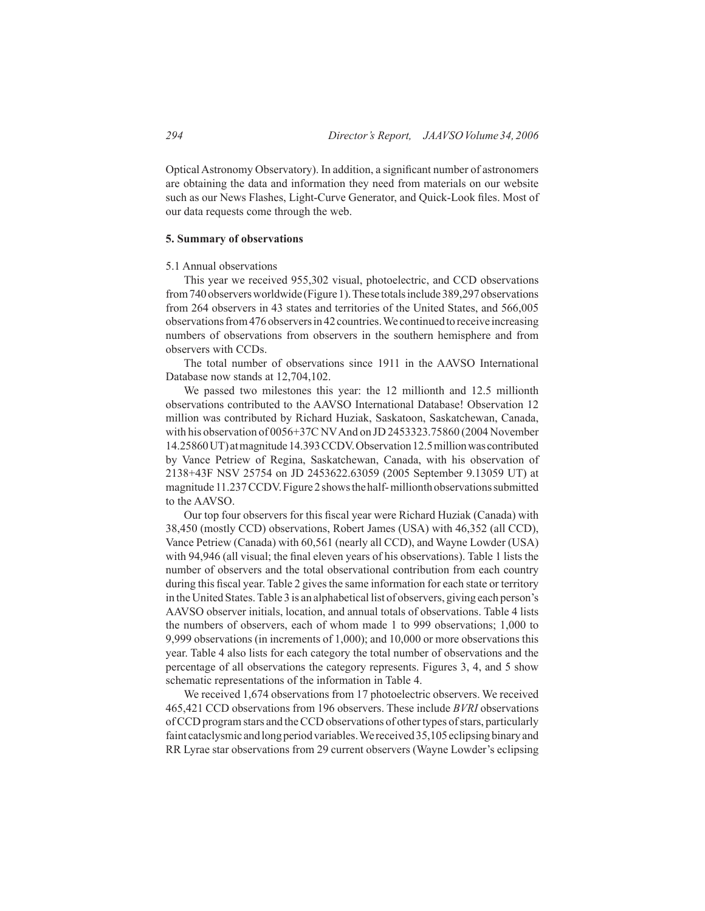OpticalAstronomy Observatory). In addition, a significant number of astronomers are obtaining the data and information they need from materials on our website such as our News Flashes, Light-Curve Generator, and Quick-Look files. Most of our data requests come through the web.

# **5. Summary of observations**

#### 5.1 Annual observations

This year we received 955,302 visual, photoelectric, and CCD observations from 740 observers worldwide (Figure 1). These totals include 389,297 observations from 264 observers in 43 states and territories of the United States, and 566,005 observationsfrom476observersin42countries.We continuedtoreceive increasing numbers of observations from observers in the southern hemisphere and from observers with CCDs.

 The total number of observations since 1911 in the AAVSO International Database now stands at 12,704,102.

We passed two milestones this year: the 12 millionth and 12.5 millionth observations contributed to the AAVSO International Database! Observation 12 million was contributed by Richard Huziak, Saskatoon, Saskatchewan, Canada, with his observation of 0056+37C NVAnd on JD 2453323.75860 (2004 November 14.25860UT) atmagnitude14.393CCDV.Observation12.5millionwas contributed by Vance Petriew of Regina, Saskatchewan, Canada, with his observation of 2138+43F NSV 25754 on JD 2453622.63059 (2005 September 9.13059 UT) at magnitude 11.237 CCDV. Figure 2 shows the half-millionth observations submitted to the AAVSO.

Our top four observers for this fiscal year were Richard Huziak (Canada) with 38,450 (mostly CCD) observations, Robert James (USA) with 46,352 (all CCD), Vance Petriew (Canada) with 60,561 (nearly all CCD), and Wayne Lowder (USA) with 94,946 (all visual; the final eleven years of his observations). Table 1 lists the number of observers and the total observational contribution from each country during this fiscal year. Table 2 gives the same information for each state or territory in the United States.Table 3 is an alphabetical list of observers, giving each person's AAVSO observer initials, location, and annual totals of observations. Table 4 lists the numbers of observers, each of whom made 1 to 999 observations; 1,000 to 9,999 observations (in increments of 1,000); and 10,000 or more observations this year. Table 4 also lists for each category the total number of observations and the percentage of all observations the category represents. Figures 3, 4, and 5 show schematic representations of the information in Table 4.

 We received 1,674 observations from 17 photoelectric observers. We received 465,421 CCD observations from 196 observers. These include *BVRI* observations of CCD program stars and the CCD observations of other types of stars, particularly faint cataclysmic and long period variables. We received 35,105 eclipsing binary and RR Lyrae star observations from 29 current observers (Wayne Lowder's eclipsing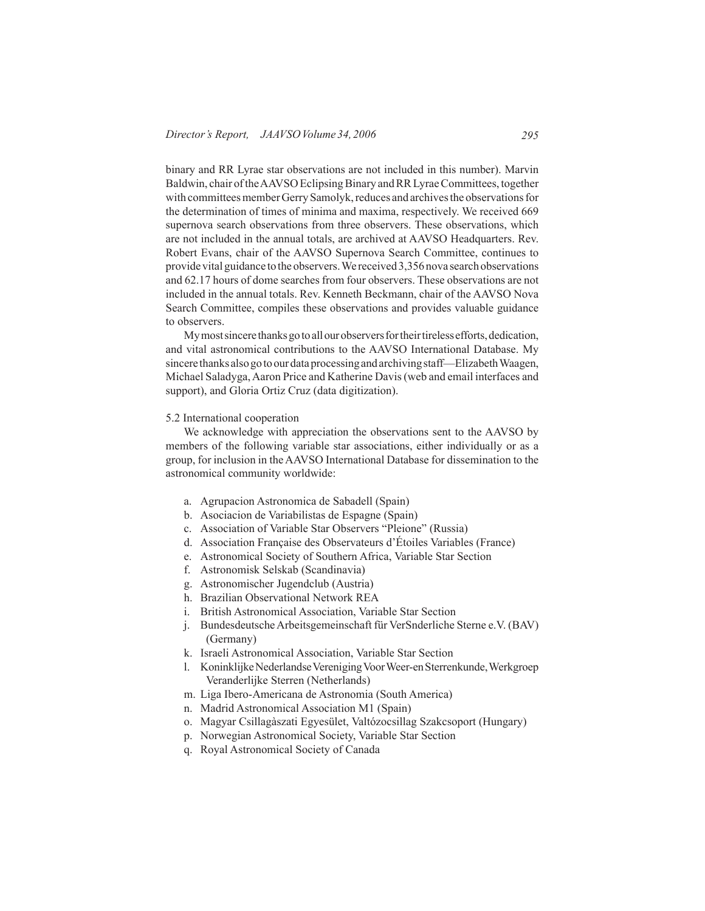binary and RR Lyrae star observations are not included in this number). Marvin Baldwin, chair of the AAVSO Eclipsing Binary and RR Lyrae Committees, together with committees member Gerry Samolyk, reduces and archives the observations for the determination of times of minima and maxima, respectively. We received 669 supernova search observations from three observers. These observations, which are not included in the annual totals, are archived at AAVSO Headquarters. Rev. Robert Evans, chair of the AAVSO Supernova Search Committee, continues to provide vital guidance to the observers.We received 3,356 nova search observations and 62.17 hours of dome searches from four observers. These observations are not included in the annual totals. Rev. Kenneth Beckmann, chair of the AAVSO Nova Search Committee, compiles these observations and provides valuable guidance to observers.

My most sincere thanks go to all our observers for their tireless efforts, dedication, and vital astronomical contributions to the AAVSO International Database. My sincere thanks also go to our data processing and archiving staff—Elizabeth Waagen, Michael Saladyga,Aaron Price and Katherine Davis(web and email interfaces and support), and Gloria Ortiz Cruz (data digitization).

# 5.2 International cooperation

 We acknowledge with appreciation the observations sent to the AAVSO by members of the following variable star associations, either individually or as a group, for inclusion in the AAVSO International Database for dissemination to the astronomical community worldwide:

- a. Agrupacion Astronomica de Sabadell (Spain)
- b. Asociacion de Variabilistas de Espagne (Spain)
- c. Association of Variable Star Observers "Pleione" (Russia)
- d. Association Française des Observateurs d'Étoiles Variables (France)
- e. Astronomical Society of Southern Africa, Variable Star Section
- f. Astronomisk Selskab (Scandinavia)
- g. Astronomischer Jugendclub (Austria)
- h. Brazilian Observational Network REA
- i. British Astronomical Association, Variable Star Section
- j. Bundesdeutsche Arbeitsgemeinschaft für VerSnderliche Sterne e.V. (BAV) (Germany)
- k. Israeli Astronomical Association, Variable Star Section
- l. Koninklijke Nederlandse Vereniging Voor Weer-en Sterrenkunde, Werkgroep Veranderlijke Sterren (Netherlands)
- m. Liga Ibero-Americana de Astronomia (South America)
- n. Madrid Astronomical Association M1 (Spain)
- o. Magyar Csillagàszati Egyesület, Valtózocsillag Szakcsoport (Hungary)
- p. Norwegian Astronomical Society, Variable Star Section
- q. Royal Astronomical Society of Canada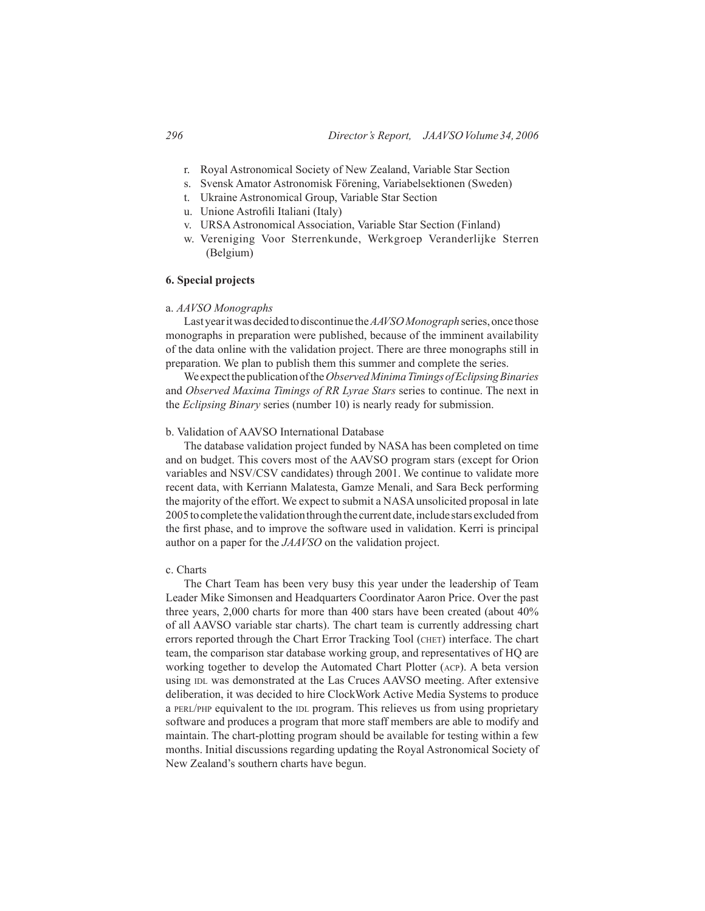- r. Royal Astronomical Society of New Zealand, Variable Star Section
- s. Svensk Amator Astronomisk Förening, Variabelsektionen (Sweden)
- t. Ukraine Astronomical Group, Variable Star Section
- u. Unione Astrofili Italiani (Italy)
- v. URSAAstronomical Association, Variable Star Section (Finland)
- w. Vereniging Voor Sterrenkunde, Werkgroep Veranderlijke Sterren (Belgium)

# **6. Special projects**

#### a. *AAVSO Monographs*

Last year it was decided to discontinue the *AAVSO Monograph* series, once those monographs in preparation were published, because of the imminent availability of the data online with the validation project. There are three monographs still in preparation. We plan to publish them this summer and complete the series.

We expect the publication of the *Observed Minima Timings of Eclipsing Binaries* and *Observed Maxima Timings of RR Lyrae Stars* series to continue. The next in the *Eclipsing Binary* series (number 10) is nearly ready for submission.

# b. Validation of AAVSO International Database

 The database validation project funded by NASA has been completed on time and on budget. This covers most of the AAVSO program stars (except for Orion variables and NSV/CSV candidates) through 2001. We continue to validate more recent data, with Kerriann Malatesta, Gamze Menali, and Sara Beck performing the majority of the effort. We expect to submit a NASAunsolicited proposal in late 2005tocomplete thevalidationthroughthe currentdate,include stars excludedfrom the first phase, and to improve the software used in validation. Kerri is principal author on a paper for the *JAAVSO* on the validation project.

### c. Charts

 The Chart Team has been very busy this year under the leadership of Team Leader Mike Simonsen and Headquarters Coordinator Aaron Price. Over the past three years, 2,000 charts for more than 400 stars have been created (about 40% of all AAVSO variable star charts). The chart team is currently addressing chart errors reported through the Chart Error Tracking Tool (CHET) interface. The chart team, the comparison star database working group, and representatives of HQ are working together to develop the Automated Chart Plotter (acp). A beta version using inl was demonstrated at the Las Cruces AAVSO meeting. After extensive deliberation, it was decided to hire ClockWork Active Media Systems to produce a PERL/PHP equivalent to the IDL program. This relieves us from using proprietary software and produces a program that more staff members are able to modify and maintain. The chart-plotting program should be available for testing within a few months. Initial discussions regarding updating the Royal Astronomical Society of New Zealand's southern charts have begun.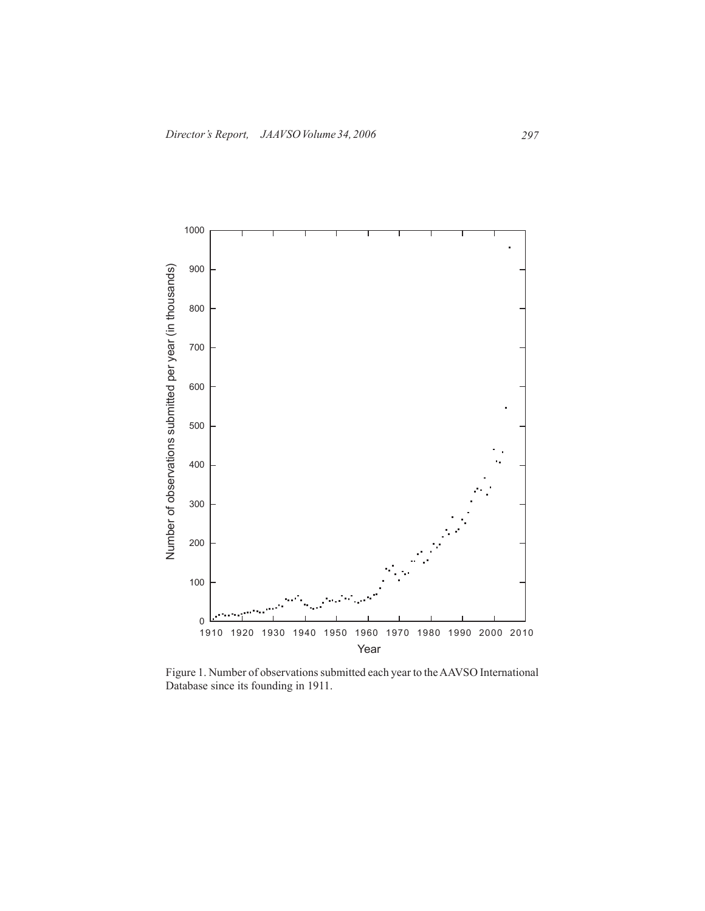

Figure 1. Number of observations submitted each year to the AAVSO International Database since its founding in 1911.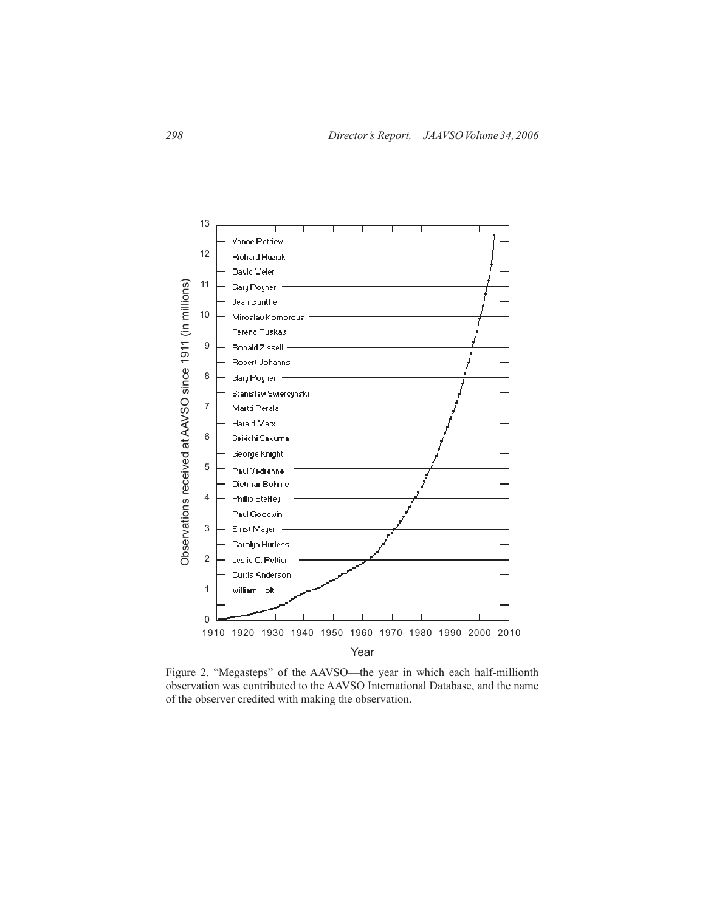

Figure 2. "Megasteps" of the AAVSO—the year in which each half-millionth observation was contributed to the AAVSO International Database, and the name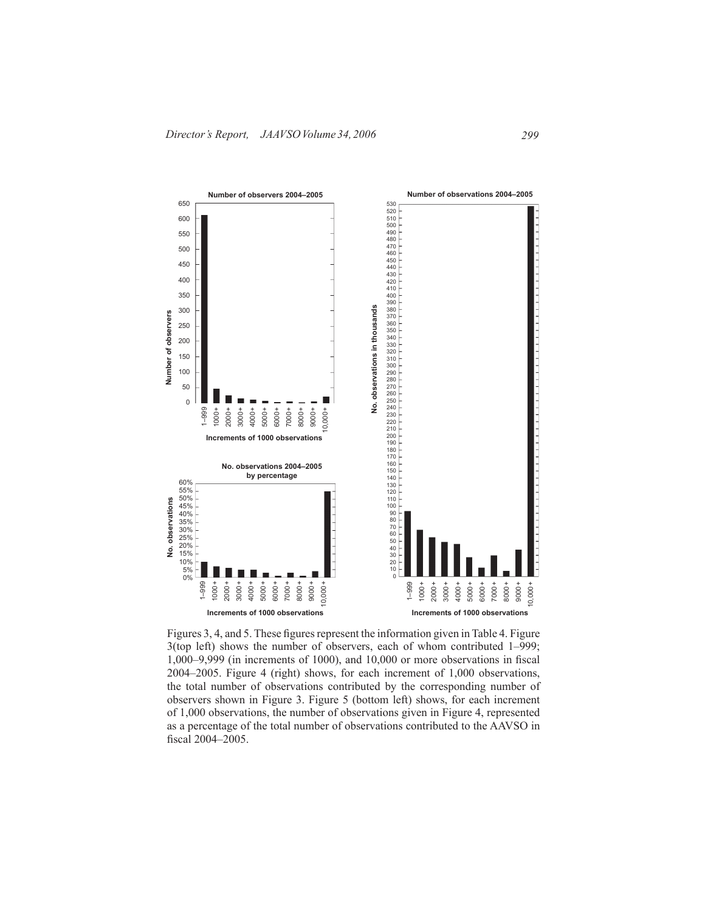

Figures 3, 4, and 5. These figures represent the information given in Table 4. Figure 3(top left) shows the number of observers, each of whom contributed 1–999; 1,000–9,999 (in increments of 1000), and 10,000 or more observations in fiscal 2004–2005. Figure 4 (right) shows, for each increment of 1,000 observations, the total number of observations contributed by the corresponding number of observers shown in Figure 3. Figure 5 (bottom left) shows, for each increment of 1,000 observations, the number of observations given in Figure 4, represented as a percentage of the total number of observations contributed to the AAVSO in fiscal 2004–2005.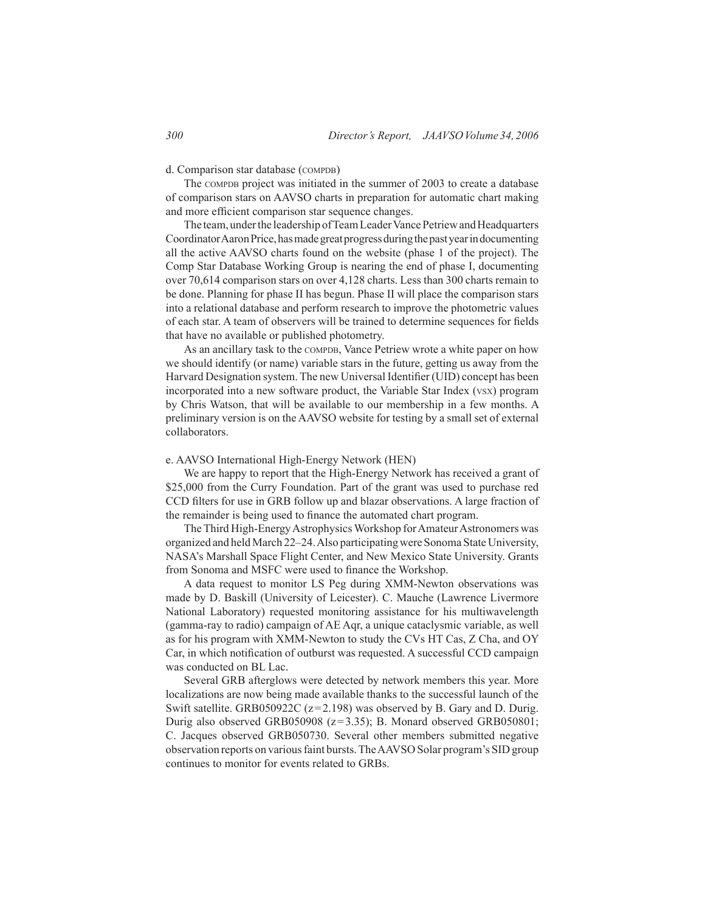# d. Comparison star database (COMPDB)

The comppe project was initiated in the summer of 2003 to create a database of comparison stars on AAVSO charts in preparation for automatic chart making and more efficient comparison star sequence changes.

The team, under the leadership of Team Leader Vance Petriew and Headquarters Coordinator Aaron Price, has made great progress during the past year in documenting all the active AAVSO charts found on the website (phase 1 of the project). The Comp Star Database Working Group is nearing the end of phase I, documenting over 70,614 comparison stars on over 4,128 charts. Less than 300 charts remain to be done. Planning for phase II has begun. Phase II will place the comparison stars into a relational database and perform research to improve the photometric values of each star. A team of observers will be trained to determine sequences for fields that have no available or published photometry.

As an ancillary task to the COMPDB, Vance Petriew wrote a white paper on how we should identify (or name) variable stars in the future, getting us away from the Harvard Designation system. The new Universal Identifier (UID) concept has been incorporated into a new software product, the Variable Star Index (vsx) program by Chris Watson, that will be available to our membership in a few months. A preliminary version is on the AAVSO website for testing by a small set of external collaborators.

#### e. AAVSO International High-Energy Network (HEN)

 We are happy to report that the High-Energy Network has received a grant of \$25,000 from the Curry Foundation. Part of the grant was used to purchase red CCD filters for use in GRB follow up and blazar observations. A large fraction of the remainder is being used to finance the automated chart program.

The Third High-Energy Astrophysics Workshop for Amateur Astronomers was organized and held March 22–24. Also participating were Sonoma State University, NASA's Marshall Space Flight Center, and New Mexico State University. Grants from Sonoma and MSFC were used to finance the Workshop.

A data request to monitor LS Peg during XMM-Newton observations was made by D. Baskill (University of Leicester). C. Mauche (Lawrence Livermore National Laboratory) requested monitoring assistance for his multiwavelength (gamma-ray to radio) campaign of AE Aqr, a unique cataclysmic variable, as well as for his program with XMM-Newton to study the CVs HT Cas, Z Cha, and OY Car, in which notification of outburst was requested. A successful CCD campaign was conducted on BL Lac.

Several GRB afterglows were detected by network members this year. More localizations are now being made available thanks to the successful launch of the Swift satellite. GRB050922C (z=2.198) was observed by B. Gary and D. Durig. Durig also observed GRB050908 (z=3.35); B. Monard observed GRB050801; C. Jacques observed GRB050730. Several other members submitted negative observation reports on variousfaint bursts.TheAAVSO Solar program's SID group continues to monitor for events related to GRBs.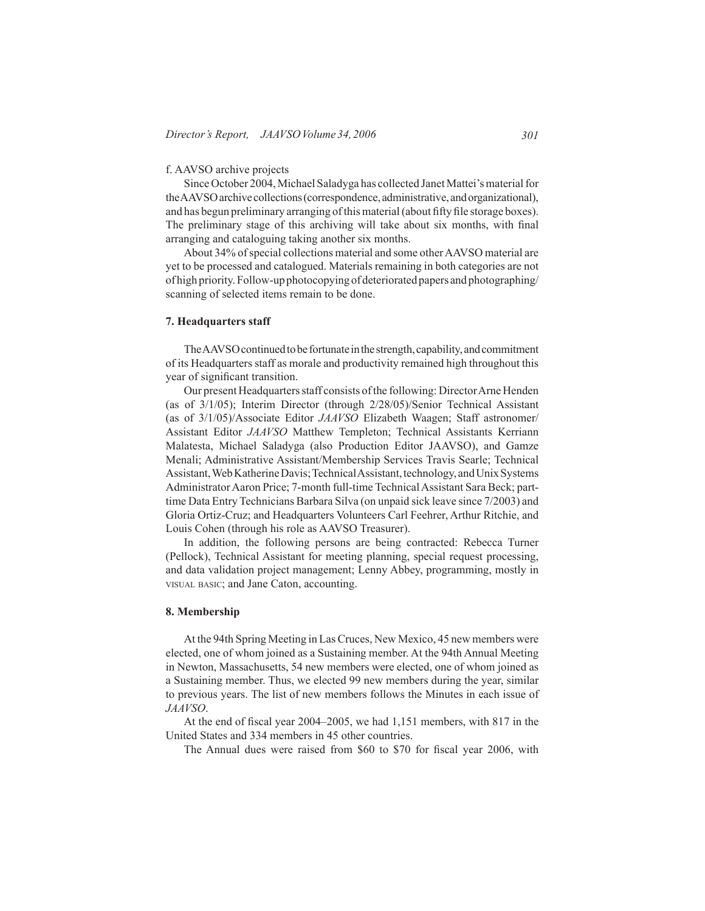# f. AAVSO archive projects

Since October 2004, Michael Saladyga has collected Janet Mattei's material for theAAVSOarchivecollections(correspondence,administrative,andorganizational), and has begun preliminary arranging ofthismaterial(about fifty file storage boxes). The preliminary stage of this archiving will take about six months, with final arranging and cataloguing taking another six months.

About 34% of special collections material and some other AAVSO material are yet to be processed and catalogued. Materials remaining in both categories are not of high priority.Follow-up photocopying of deteriorated papers and photographing/ scanning of selected items remain to be done.

# **7. Headquarters staff**

The AAVSO continued to be fortunate in the strength, capability, and commitment of its Headquarters staff as morale and productivity remained high throughout this year of significant transition.

Our present Headquarters staff consists of the following: Director Arne Henden (as of 3/1/05); Interim Director (through 2/28/05)/Senior Technical Assistant (as of 3/1/05)/Associate Editor *JAAVSO* Elizabeth Waagen; Staff astronomer/ Assistant Editor *JAAVSO* Matthew Templeton; Technical Assistants Kerriann Malatesta, Michael Saladyga (also Production Editor JAAVSO), and Gamze Menali; Administrative Assistant/Membership Services Travis Searle; Technical Assistant, Web Katherine Davis; Technical Assistant, technology, and Unix Systems Administrator Aaron Price; 7-month full-time Technical Assistant Sara Beck; parttime Data Entry Technicians Barbara Silva (on unpaid sick leave since 7/2003) and Gloria Ortiz-Cruz; and Headquarters Volunteers Carl Feehrer, Arthur Ritchie, and Louis Cohen (through his role as AAVSO Treasurer).

 In addition, the following persons are being contracted: Rebecca Turner (Pellock), Technical Assistant for meeting planning, special request processing, and data validation project management; Lenny Abbey, programming, mostly in visual basic; and Jane Caton, accounting.

### **8. Membership**

At the 94th Spring Meeting in LasCruces, New Mexico, 45 new members were elected, one of whom joined as a Sustaining member. At the 94th Annual Meeting in Newton, Massachusetts, 54 new members were elected, one of whom joined as a Sustaining member. Thus, we elected 99 new members during the year, similar to previous years. The list of new members follows the Minutes in each issue of *JAAVSO*.

At the end of fiscal year 2004–2005, we had 1,151 members, with 817 in the United States and 334 members in 45 other countries.

The Annual dues were raised from \$60 to \$70 for fiscal year 2006, with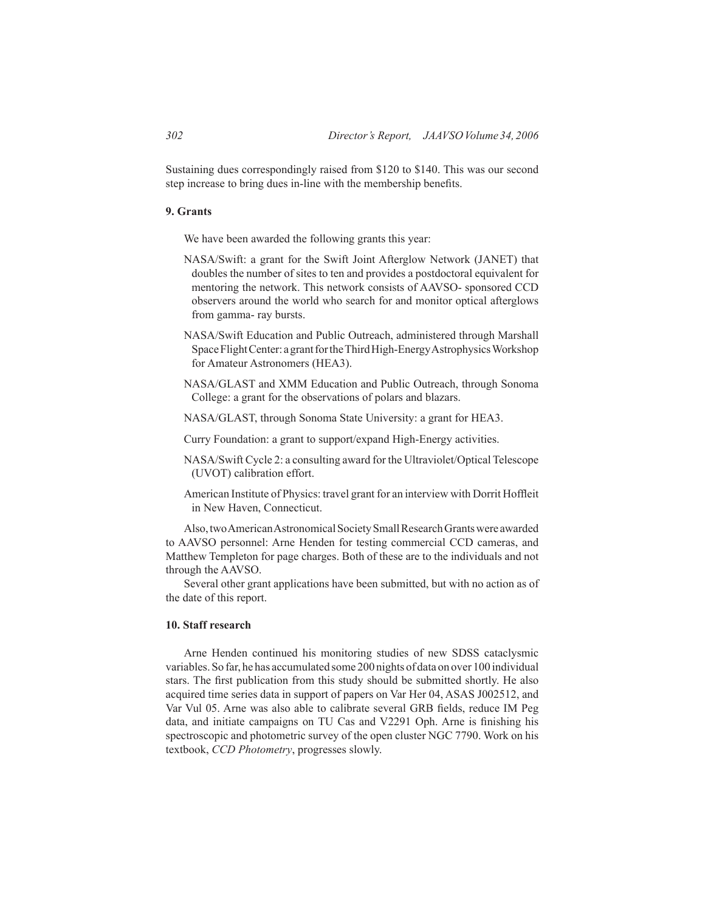Sustaining dues correspondingly raised from \$120 to \$140. This was our second step increase to bring dues in-line with the membership benefits.

# **9. Grants**

 We have been awarded the following grants this year:

- NASA/Swift: a grant for the Swift Joint Afterglow Network (JANET) that doubles the number of sites to ten and provides a postdoctoral equivalent for mentoring the network. This network consists of AAVSO- sponsored CCD observers around the world who search for and monitor optical afterglows from gamma- ray bursts.
- NASA/Swift Education and Public Outreach, administered through Marshall Space Flight Center: a grant for the Third High-Energy Astrophysics Workshop for Amateur Astronomers (HEA3).
- NASA/GLAST and XMM Education and Public Outreach, through Sonoma College: a grant for the observations of polars and blazars.
- NASA/GLAST, through Sonoma State University: a grant for HEA3.
- Curry Foundation: a grant to support/expand High-Energy activities.
- NASA/Swift Cycle 2: a consulting award for the Ultraviolet/Optical Telescope (UVOT) calibration effort.
- American Institute of Physics: travel grant for an interview with Dorrit Hoffleit in New Haven, Connecticut.

 Also,twoAmericanAstronomicalSocietySmallResearchGrantswere awarded to AAVSO personnel: Arne Henden for testing commercial CCD cameras, and Matthew Templeton for page charges. Both of these are to the individuals and not through the AAVSO.

 Several other grant applications have been submitted, but with no action as of the date of this report.

# **10. Staff research**

 Arne Henden continued his monitoring studies of new SDSS cataclysmic variables. So far, he has accumulated some 200 nights of data on over 100 individual stars. The first publication from this study should be submitted shortly. He also acquired time series data in support of papers on Var Her 04, ASAS J002512, and Var Vul 05. Arne was also able to calibrate several GRB fields, reduce IM Peg data, and initiate campaigns on TU Cas and V2291 Oph. Arne is finishing his spectroscopic and photometric survey of the open cluster NGC 7790. Work on his textbook, *CCD Photometry*, progresses slowly.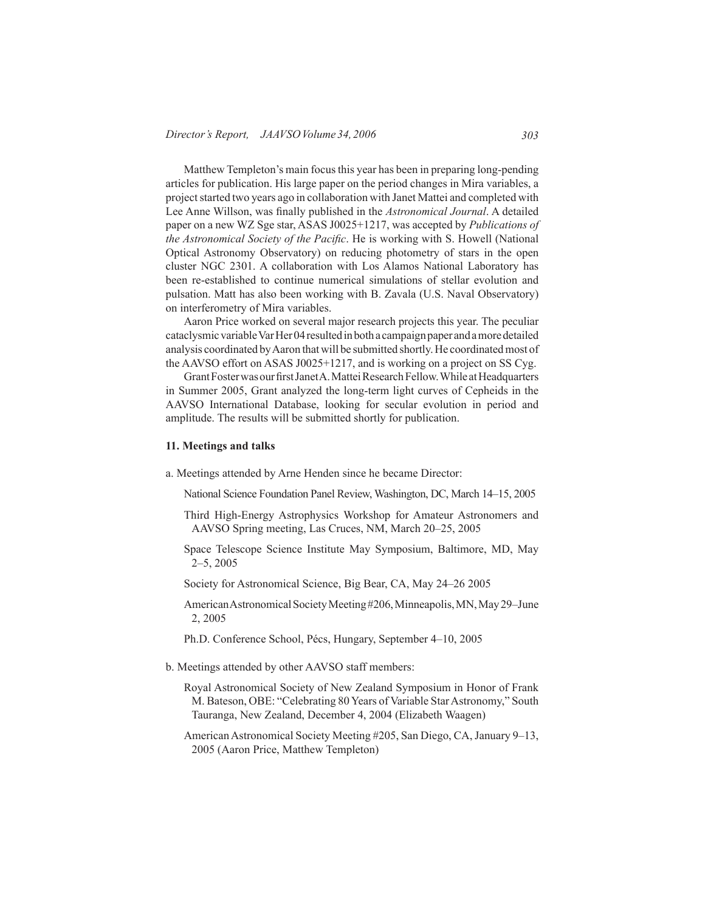Matthew Templeton's main focus this year has been in preparing long-pending articles for publication. His large paper on the period changes in Mira variables, a projectstarted two years ago in collaboration with Janet Mattei and completed with Lee Anne Willson, was finally published in the *Astronomical Journal*. A detailed paper on a new WZ Sge star, ASAS J0025+1217, was accepted by *Publications of the Astronomical Society of the Pacific*. He is working with S. Howell (National Optical Astronomy Observatory) on reducing photometry of stars in the open cluster NGC 2301. A collaboration with Los Alamos National Laboratory has been re-established to continue numerical simulations of stellar evolution and pulsation. Matt has also been working with B. Zavala (U.S. Naval Observatory) on interferometry of Mira variables.

 Aaron Price worked on several major research projects this year. The peculiar cataclysmic variable Var Her04 resulted in both a campaign paper and a more detailed analysis coordinated byAaron that will be submitted shortly. He coordinatedmost of the AAVSO effort on ASAS J0025+1217, and is working on a project on SS Cyg.

Grant Foster was our first Janet A. Mattei Research Fellow. While at Headquarters in Summer 2005, Grant analyzed the long-term light curves of Cepheids in the AAVSO International Database, looking for secular evolution in period and amplitude. The results will be submitted shortly for publication.

#### **11. Meetings and talks**

a. Meetings attended by Arne Henden since he became Director:

National Science Foundation Panel Review, Washington, DC, March 14–15, 2005

- Third High-Energy Astrophysics Workshop for Amateur Astronomers and AAVSO Spring meeting, Las Cruces, NM, March 20–25, 2005
- Space Telescope Science Institute May Symposium, Baltimore, MD, May 2–5, 2005
- Society for Astronomical Science, Big Bear, CA, May 24–26 2005
- American Astronomical Society Meeting #206, Minneapolis, MN, May 29–June 2, 2005
- Ph.D. Conference School, Pécs, Hungary, September 4–10, 2005
- b. Meetings attended by other AAVSO staff members:
	- Royal Astronomical Society of New Zealand Symposium in Honor of Frank M. Bateson, OBE: "Celebrating 80Years of Variable StarAstronomy," South Tauranga, New Zealand, December 4, 2004 (Elizabeth Waagen)
	- American Astronomical Society Meeting #205, San Diego, CA, January 9–13, 2005 (Aaron Price, Matthew Templeton)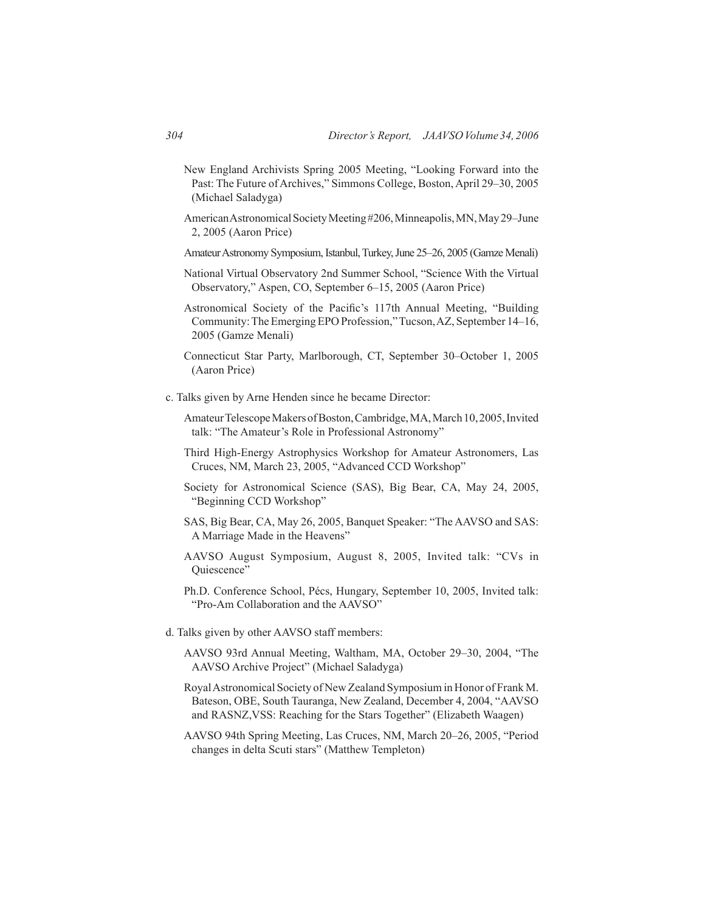- New England Archivists Spring 2005 Meeting, "Looking Forward into the Past: The Future of Archives," Simmons College, Boston, April 29-30, 2005 (Michael Saladyga)
- AmericanAstronomicalSocietyMeeting#206,Minneapolis,MN,May29–June 2, 2005 (Aaron Price)
- Amateur Astronomy Symposium, Istanbul, Turkey, June 25–26, 2005 (Gamze Menali)
- National Virtual Observatory 2nd Summer School, "Science With the Virtual Observatory," Aspen, CO, September 6–15, 2005 (Aaron Price)
- Astronomical Society of the Pacific's 117th Annual Meeting, "Building Community: The Emerging EPO Profession," Tucson, AZ, September 14-16, 2005 (Gamze Menali)
- Connecticut Star Party, Marlborough, CT, September 30–October 1, 2005 (Aaron Price)
- c. Talks given by Arne Henden since he became Director:
	- Amateur Telescope Makers of Boston, Cambridge, MA, March 10, 2005, Invited talk: "The Amateur's Role in Professional Astronomy"
	- Third High-Energy Astrophysics Workshop for Amateur Astronomers, Las Cruces, NM, March 23, 2005, "Advanced CCD Workshop"
	- Society for Astronomical Science (SAS), Big Bear, CA, May 24, 2005, "Beginning CCD Workshop"
	- SAS, Big Bear, CA, May 26, 2005, Banquet Speaker: "The AAVSO and SAS: A Marriage Made in the Heavens"
	- AAVSO August Symposium, August 8, 2005, Invited talk: "CVs in Quiescence"
	- Ph.D. Conference School, Pécs, Hungary, September 10, 2005, Invited talk: "Pro-Am Collaboration and the AAVSO"
- d. Talks given by other AAVSO staff members:
	- AAVSO 93rd Annual Meeting, Waltham, MA, October 29–30, 2004, "The AAVSO Archive Project" (Michael Saladyga)
	- RoyalAstronomical Society of New Zealand Symposiumin Honor of Frank M. Bateson, OBE, South Tauranga, New Zealand, December 4, 2004, "AAVSO and RASNZ,VSS: Reaching for the Stars Together" (Elizabeth Waagen)
	- AAVSO 94th Spring Meeting, Las Cruces, NM, March 20–26, 2005, "Period changes in delta Scuti stars" (Matthew Templeton)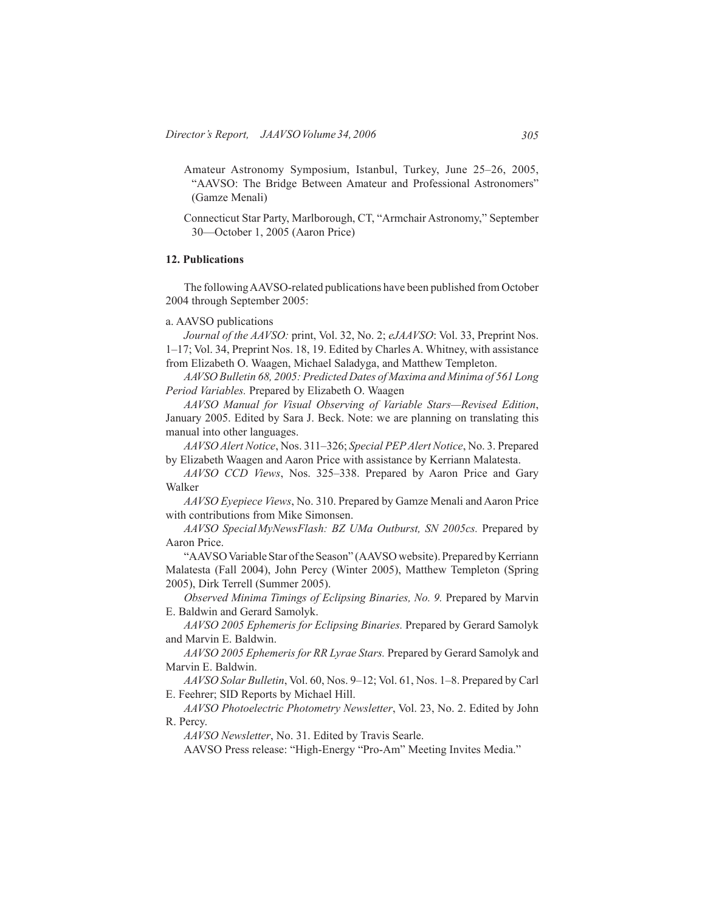- Amateur Astronomy Symposium, Istanbul, Turkey, June 25–26, 2005, "AAVSO: The Bridge Between Amateur and Professional Astronomers" (Gamze Menali)
- Connecticut Star Party, Marlborough, CT, "Armchair Astronomy," September 30—October 1, 2005 (Aaron Price)

# **12. Publications**

 The followingAAVSO-related publications have been published from October 2004 through September 2005:

# a. AAVSO publications

*Journal of the AAVSO:* print, Vol. 32, No. 2; *eJAAVSO*: Vol. 33, Preprint Nos. 1–17; Vol. 34, Preprint Nos. 18, 19. Edited by Charles A. Whitney, with assistance from Elizabeth O. Waagen, Michael Saladyga, and Matthew Templeton.

*AAVSO Bulletin 68, 2005: Predicted Dates of Maxima and Minima of 561 Long Period Variables.* Prepared by Elizabeth O. Waagen

*AAVSO Manual for Visual Observing of Variable Stars—Revised Edition*, January 2005. Edited by Sara J. Beck. Note: we are planning on translating this manual into other languages.

*AAVSO Alert Notice*, Nos. 311–326; *Special PEP Alert Notice*, No. 3. Prepared by Elizabeth Waagen and Aaron Price with assistance by Kerriann Malatesta.

*AAVSO CCD Views*, Nos. 325–338. Prepared by Aaron Price and Gary Walker

*AAVSO Eyepiece Views*, No. 310. Prepared by Gamze Menali and Aaron Price with contributions from Mike Simonsen.

*AAVSO SpecialMyNewsFlash: BZ UMa Outburst, SN 2005cs.* Prepared by Aaron Price.

"AAVSO Variable Star of the Season" (AAVSO website). Prepared by Kerriann Malatesta (Fall 2004), John Percy (Winter 2005), Matthew Templeton (Spring 2005), Dirk Terrell (Summer 2005).

*Observed Minima Timings of Eclipsing Binaries, No. 9.* Prepared by Marvin E. Baldwin and Gerard Samolyk.

*AAVSO 2005 Ephemeris for Eclipsing Binaries.* Prepared by Gerard Samolyk and Marvin E. Baldwin.

*AAVSO 2005 Ephemeris for RR Lyrae Stars.* Prepared by Gerard Samolyk and Marvin E. Baldwin.

*AAVSO Solar Bulletin*, Vol. 60, Nos. 9–12; Vol. 61, Nos. 1–8. Prepared by Carl E. Feehrer; SID Reports by Michael Hill.

*AAVSO Photoelectric Photometry Newsletter*, Vol. 23, No. 2. Edited by John R. Percy.

*AAVSO Newsletter*, No. 31. Edited by Travis Searle.

AAVSO Press release: "High-Energy "Pro-Am" Meeting Invites Media."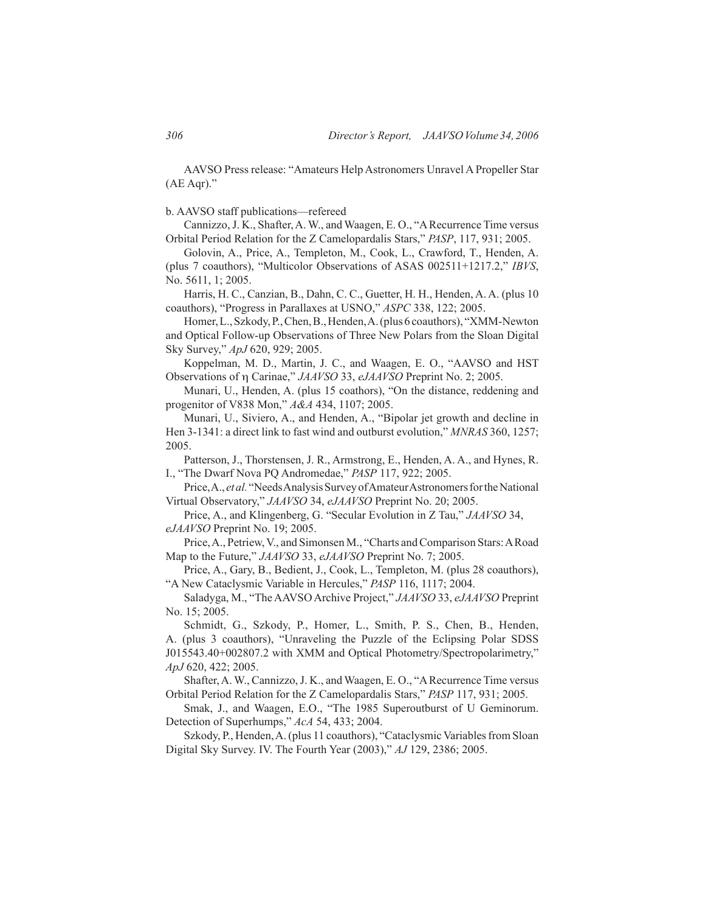AAVSO Press release: "Amateurs Help Astronomers Unravel A Propeller Star (AE Aqr)."

b. AAVSO staff publications—refereed

Cannizzo,J. K., Shafter,A. W., and Waagen, E. O., "ARecurrence Time versus Orbital Period Relation for the Z Camelopardalis Stars," *PASP*, 117, 931; 2005.

Golovin, A., Price, A., Templeton, M., Cook, L., Crawford, T., Henden, A. (plus 7 coauthors), "Multicolor Observations of ASAS 002511+1217.2," *IBVS*, No. 5611, 1; 2005.

 Harris, H. C., Canzian, B., Dahn, C. C., Guetter, H. H., Henden, A. A. (plus 10 coauthors), "Progress in Parallaxes at USNO," *ASPC* 338, 122; 2005.

Homer,L.,Szkody,P.,Chen,B.,Henden,A.(plus6coauthors), "XMM-Newton and Optical Follow-up Observations of Three New Polars from the Sloan Digital Sky Survey," *ApJ* 620, 929; 2005.

Koppelman, M. D., Martin, J. C., and Waagen, E. O., "AAVSO and HST Observations of η Carinae," *JAAVSO* 33, *eJAAVSO* Preprint No. 2; 2005.

Munari, U., Henden, A. (plus 15 coathors), "On the distance, reddening and progenitor of V838 Mon," *A&A* 434, 1107; 2005.

Munari, U., Siviero, A., and Henden, A., "Bipolar jet growth and decline in Hen 3-1341: a direct link to fast wind and outburst evolution," *MNRAS* 360, 1257; 2005.

Patterson, J., Thorstensen, J. R., Armstrong, E., Henden, A. A., and Hynes, R. I., "The Dwarf Nova PQ Andromedae," *PASP* 117, 922; 2005.

Price, A., *et al.* "Needs Analysis Survey of Amateur Astronomers for the National Virtual Observatory," *JAAVSO* 34, *eJAAVSO* Preprint No. 20; 2005.

 Price, A., and Klingenberg, G. "Secular Evolution in Z Tau," *JAAVSO* 34, *eJAAVSO* Preprint No. 19; 2005.

Price, A., Petriew, V., and Simonsen M., "Charts and Comparison Stars: A Road Map to the Future," *JAAVSO* 33, *eJAAVSO* Preprint No. 7; 2005.

Price, A., Gary, B., Bedient, J., Cook, L., Templeton, M. (plus 28 coauthors), "A New Cataclysmic Variable in Hercules," *PASP* 116, 1117; 2004.

Saladyga, M., "TheAAVSOArchive Project," *JAAVSO* 33, *eJAAVSO* Preprint No. 15; 2005.

 Schmidt, G., Szkody, P., Homer, L., Smith, P. S., Chen, B., Henden, A. (plus 3 coauthors), "Unraveling the Puzzle of the Eclipsing Polar SDSS J015543.40+002807.2 with XMM and Optical Photometry/Spectropolarimetry," *ApJ* 620, 422; 2005.

Shafter,A. W., Cannizzo,J. K., and Waagen, E. O., "ARecurrence Time versus Orbital Period Relation for the Z Camelopardalis Stars," *PASP* 117, 931; 2005.

Smak, J., and Waagen, E.O., "The 1985 Superoutburst of U Geminorum. Detection of Superhumps," *AcA* 54, 433; 2004.

Szkody, P., Henden, A. (plus 11 coauthors), "Cataclysmic Variables from Sloan Digital Sky Survey. IV. The Fourth Year (2003)," *AJ* 129, 2386; 2005.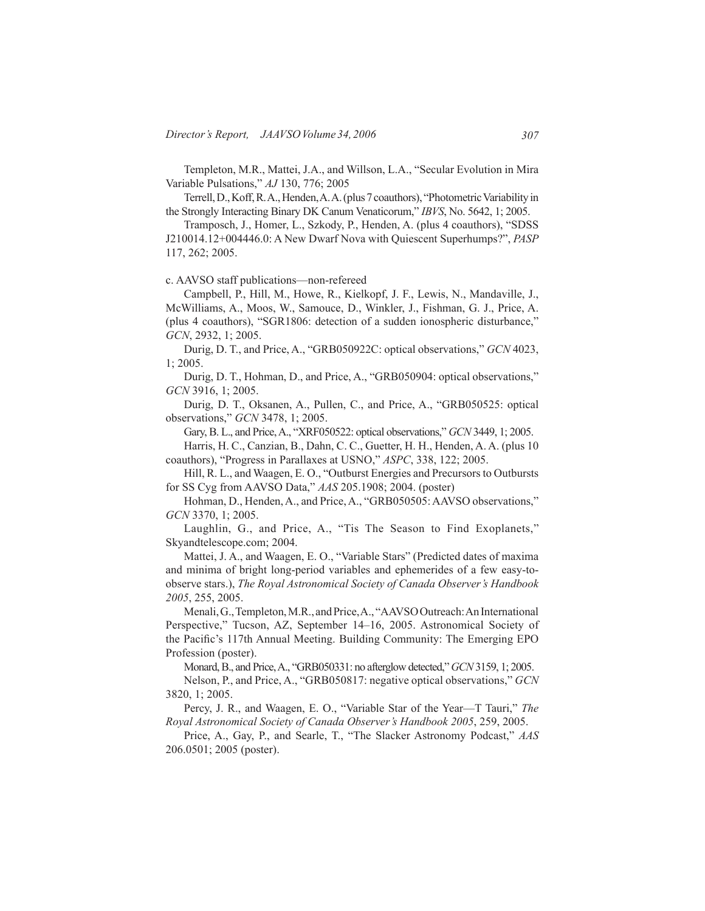Templeton, M.R., Mattei, J.A., and Willson, L.A., "Secular Evolution in Mira Variable Pulsations," *AJ* 130, 776; 2005

 Terrell,D.,Koff,R.A.,Henden,A.A.(plus7coauthors), "PhotometricVariabilityin the Strongly Interacting Binary DK Canum Venaticorum," *IBVS*, No. 5642, 1; 2005.

Tramposch, J., Homer, L., Szkody, P., Henden, A. (plus 4 coauthors), "SDSS J210014.12+004446.0: A New Dwarf Nova with Quiescent Superhumps?", *PASP* 117, 262; 2005.

c. AAVSO staff publications—non-refereed

Campbell, P., Hill, M., Howe, R., Kielkopf, J. F., Lewis, N., Mandaville, J., McWilliams, A., Moos, W., Samouce, D., Winkler, J., Fishman, G. J., Price, A. (plus 4 coauthors), "SGR1806: detection of a sudden ionospheric disturbance," *GCN*, 2932, 1; 2005.

Durig, D. T., and Price, A., "GRB050922C: optical observations," *GCN* 4023, 1; 2005.

Durig, D. T., Hohman, D., and Price, A., "GRB050904: optical observations," *GCN* 3916, 1; 2005.

Durig, D. T., Oksanen, A., Pullen, C., and Price, A., "GRB050525: optical observations," *GCN* 3478, 1; 2005.

Gary, B. L., and Price,A., "XRF050522: optical observations," *GCN* 3449, 1; 2005.

 Harris, H. C., Canzian, B., Dahn, C. C., Guetter, H. H., Henden, A. A. (plus 10 coauthors), "Progress in Parallaxes at USNO," *ASPC*, 338, 122; 2005.

Hill, R. L., and Waagen, E. O., "Outburst Energies and Precursors to Outbursts for SS Cyg from AAVSO Data," *AAS* 205.1908; 2004. (poster)

Hohman, D., Henden, A., and Price, A., "GRB050505: AAVSO observations," *GCN* 3370, 1; 2005.

Laughlin, G., and Price, A., "Tis The Season to Find Exoplanets," Skyandtelescope.com; 2004.

Mattei, J. A., and Waagen, E. O., "Variable Stars" (Predicted dates of maxima and minima of bright long-period variables and ephemerides of a few easy-toobserve stars.), *The Royal Astronomical Society of Canada Observer's Handbook 2005*, 255, 2005.

Menali, G., Templeton, M.R., and Price, A., "AAVSO Outreach: An International Perspective," Tucson, AZ, September 14–16, 2005. Astronomical Society of the Pacific's 117th Annual Meeting. Building Community: The Emerging EPO Profession (poster).

Monard,B., and Price,A., "GRB050331: no afterglow detected," *GCN*3159, 1; 2005.

Nelson, P., and Price, A., "GRB050817: negative optical observations," *GCN* 3820, 1; 2005.

Percy, J. R., and Waagen, E. O., "Variable Star of the Year—T Tauri," *The Royal Astronomical Society of Canada Observer's Handbook 2005*, 259, 2005.

 Price, A., Gay, P., and Searle, T., "The Slacker Astronomy Podcast," *AAS*  206.0501; 2005 (poster).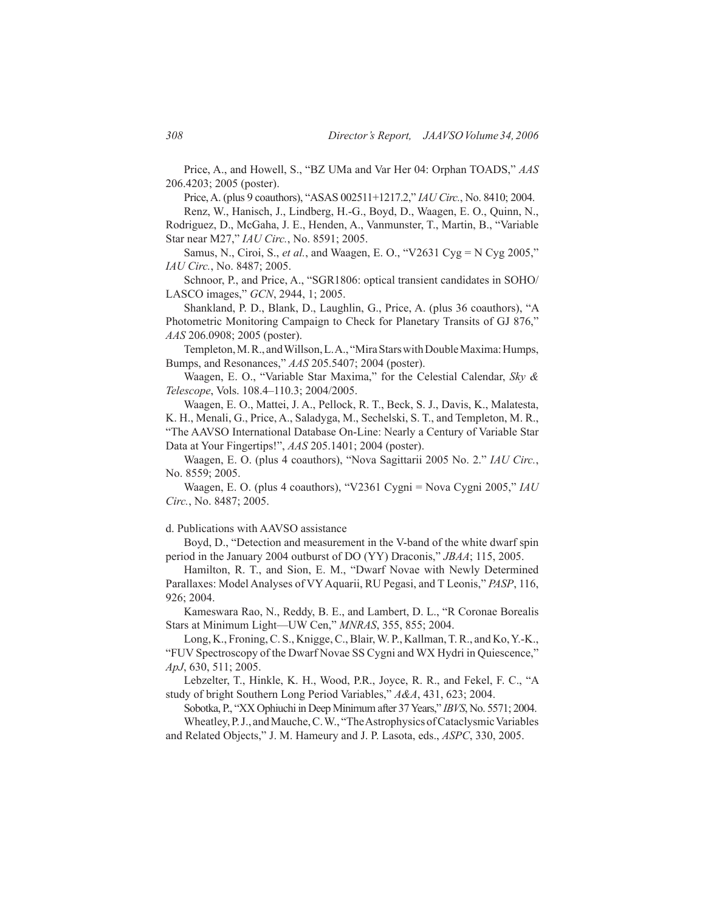Price, A., and Howell, S., "BZ UMa and Var Her 04: Orphan TOADS," *AAS*  206.4203; 2005 (poster).

Price,A. (plus 9 coauthors), "ASAS 002511+1217.2," *IAU Circ.*, No. 8410; 2004.

Renz, W., Hanisch, J., Lindberg, H.-G., Boyd, D., Waagen, E. O., Quinn, N., Rodriguez, D., McGaha, J. E., Henden, A., Vanmunster, T., Martin, B., "Variable Star near M27," *IAU Circ.*, No. 8591; 2005.

 Samus, N., Ciroi, S., *et al.*, and Waagen, E. O., "V2631 Cyg = N Cyg 2005," *IAU Circ.*, No. 8487; 2005.

 Schnoor, P., and Price, A., "SGR1806: optical transient candidates in SOHO/ LASCO images," *GCN*, 2944, 1; 2005.

 Shankland, P. D., Blank, D., Laughlin, G., Price, A. (plus 36 coauthors), "A Photometric Monitoring Campaign to Check for Planetary Transits of GJ 876," *AAS* 206.0908; 2005 (poster).

Templeton, M.R., and Willson, L.A., "Mira Stars with Double Maxima: Humps, Bumps, and Resonances," *AAS* 205.5407; 2004 (poster).

Waagen, E. O., "Variable Star Maxima," for the Celestial Calendar, *Sky & Telescope*, Vols. 108.4–110.3; 2004/2005.

Waagen, E. O., Mattei, J. A., Pellock, R. T., Beck, S. J., Davis, K., Malatesta, K. H., Menali, G., Price, A., Saladyga, M., Sechelski, S. T., and Templeton, M. R., "The AAVSO International Database On-Line: Nearly a Century of Variable Star Data at Your Fingertips!", *AAS* 205.1401; 2004 (poster).

Waagen, E. O. (plus 4 coauthors), "Nova Sagittarii 2005 No. 2." *IAU Circ.*, No. 8559; 2005.

Waagen, E. O. (plus 4 coauthors), "V2361 Cygni = Nova Cygni 2005," *IAU Circ.*, No. 8487; 2005.

d. Publications with AAVSO assistance

 Boyd, D., "Detection and measurement in the V-band of the white dwarf spin period in the January 2004 outburst of DO (YY) Draconis," *JBAA*; 115, 2005.

Hamilton, R. T., and Sion, E. M., "Dwarf Novae with Newly Determined Parallaxes: Model Analyses of VYAquarii, RU Pegasi, and T Leonis," *PASP*, 116, 926; 2004.

 Kameswara Rao, N., Reddy, B. E., and Lambert, D. L., "R Coronae Borealis Stars at Minimum Light—UW Cen," *MNRAS*, 355, 855; 2004.

Long, K., Froning, C. S., Knigge, C., Blair, W. P., Kallman, T. R., and Ko, Y.-K., "FUV Spectroscopy of the Dwarf Novae SS Cygni and WX Hydri in Quiescence," *ApJ*, 630, 511; 2005.

Lebzelter, T., Hinkle, K. H., Wood, P.R., Joyce, R. R., and Fekel, F. C., "A study of bright Southern Long Period Variables," *A&A*, 431, 623; 2004.

Sobotka, P., "XX Ophiuchi in Deep Minimum after 37Years," *IBVS*, No. 5571; 2004.

Wheatley, P.J., and Mauche, C.W., "The Astrophysics of Cataclysmic Variables and Related Objects," J. M. Hameury and J. P. Lasota, eds., *ASPC*, 330, 2005.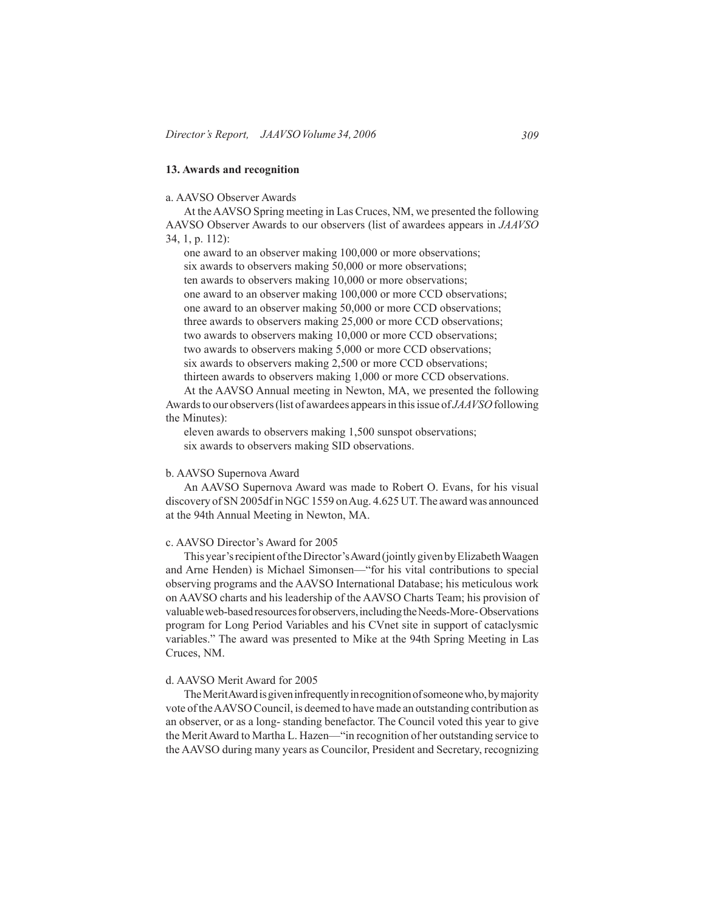# **13. Awards and recognition**

### a. AAVSO Observer Awards

At theAAVSO Spring meeting in Las Cruces, NM, we presented the following AAVSO Observer Awards to our observers (list of awardees appears in *JAAVSO* 34, 1, p. 112):

one award to an observer making 100,000 or more observations; six awards to observers making 50,000 or more observations; ten awards to observers making 10,000 or more observations; one award to an observer making 100,000 or more CCD observations; one award to an observer making 50,000 or more CCD observations; three awards to observers making 25,000 or more CCD observations; two awards to observers making 10,000 or more CCD observations; two awards to observers making 5,000 or more CCD observations; six awards to observers making 2,500 or more CCD observations; thirteen awards to observers making 1,000 or more CCD observations.

At the AAVSO Annual meeting in Newton, MA, we presented the following Awardsto our observers(list of awardees appearsin thisissue of *JAAVSO* following the Minutes):

eleven awards to observers making 1,500 sunspot observations; six awards to observers making SID observations.

### b. AAVSO Supernova Award

 An AAVSO Supernova Award was made to Robert O. Evans, for his visual discovery of SN 2005dfin NGC1559 onAug. 4.625 UT.The award was announced at the 94th Annual Meeting in Newton, MA.

### c. AAVSO Director's Award for 2005

This year's recipient of the Director's Award (jointly given by Elizabeth Waagen and Arne Henden) is Michael Simonsen—"for his vital contributions to special observing programs and the AAVSO International Database; his meticulous work on AAVSO charts and his leadership of the AAVSO Charts Team; his provision of valuableweb-basedresourcesforobservers,includingtheNeeds-More-Observations program for Long Period Variables and his CVnet site in support of cataclysmic variables." The award was presented to Mike at the 94th Spring Meeting in Las Cruces, NM.

# d. AAVSO Merit Award for 2005

The Merit Award is given infrequently in recognition of someone who, by majority vote of the AAVSO Council, is deemed to have made an outstanding contribution as an observer, or as a long- standing benefactor. The Council voted this year to give the MeritAward to Martha L. Hazen—"in recognition of her outstanding service to the AAVSO during many years as Councilor, President and Secretary, recognizing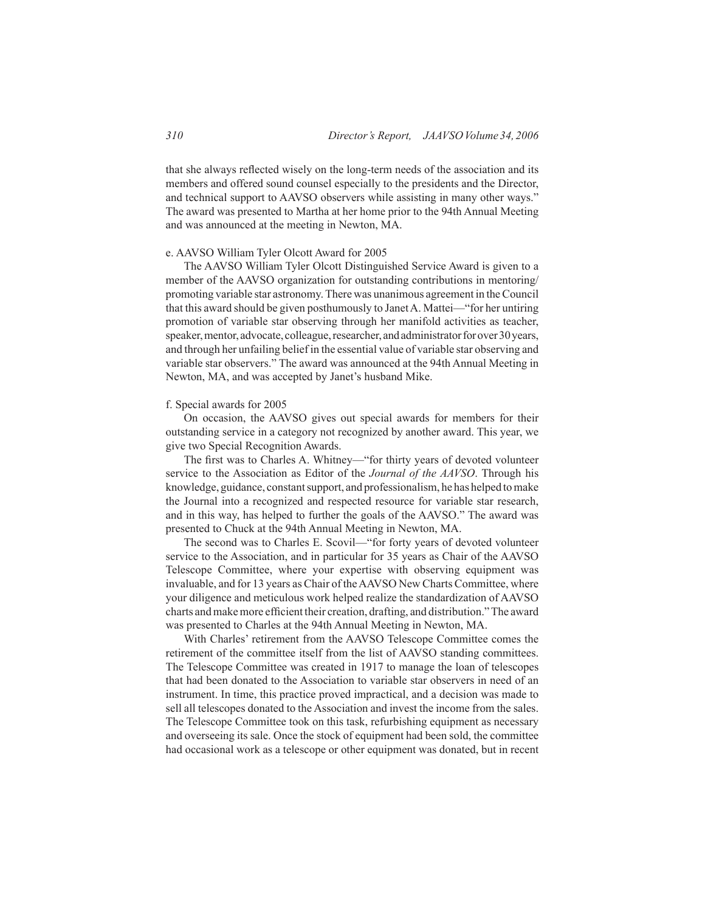that she always reflected wisely on the long-term needs of the association and its members and offered sound counsel especially to the presidents and the Director, and technical support to AAVSO observers while assisting in many other ways." The award was presented to Martha at her home prior to the 94th Annual Meeting and was announced at the meeting in Newton, MA.

### e. AAVSO William Tyler Olcott Award for 2005

 The AAVSO William Tyler Olcott Distinguished Service Award is given to a member of the AAVSO organization for outstanding contributions in mentoring/ promoting variable star astronomy.There was unanimous agreement in theCouncil that this award should be given posthumously to JanetA. Mattei—"for her untiring promotion of variable star observing through her manifold activities as teacher, speaker, mentor, advocate, colleague, researcher, and administrator for over 30 years, and through her unfailing belief in the essential value of variable star observing and variable star observers." The award was announced at the 94th Annual Meeting in Newton, MA, and was accepted by Janet's husband Mike.

#### f. Special awards for 2005

 On occasion, the AAVSO gives out special awards for members for their outstanding service in a category not recognized by another award. This year, we give two Special Recognition Awards.

The first was to Charles A. Whitney—"for thirty years of devoted volunteer service to the Association as Editor of the *Journal of the AAVSO*. Through his knowledge, guidance, constantsupport, and professionalism, he has helped tomake the Journal into a recognized and respected resource for variable star research, and in this way, has helped to further the goals of the AAVSO." The award was presented to Chuck at the 94th Annual Meeting in Newton, MA.

 The second was to Charles E. Scovil—"for forty years of devoted volunteer service to the Association, and in particular for 35 years as Chair of the AAVSO Telescope Committee, where your expertise with observing equipment was invaluable, and for 13 years as Chair of theAAVSO New Charts Committee, where your diligence and meticulous work helped realize the standardization of AAVSO charts andmakemore efficient their creation, drafting, and distribution."The award was presented to Charles at the 94th Annual Meeting in Newton, MA.

 With Charles' retirement from the AAVSO Telescope Committee comes the retirement of the committee itself from the list of AAVSO standing committees. The Telescope Committee was created in 1917 to manage the loan of telescopes that had been donated to the Association to variable star observers in need of an instrument. In time, this practice proved impractical, and a decision was made to sell all telescopes donated to the Association and invest the income from the sales. The Telescope Committee took on this task, refurbishing equipment as necessary and overseeing its sale. Once the stock of equipment had been sold, the committee had occasional work as a telescope or other equipment was donated, but in recent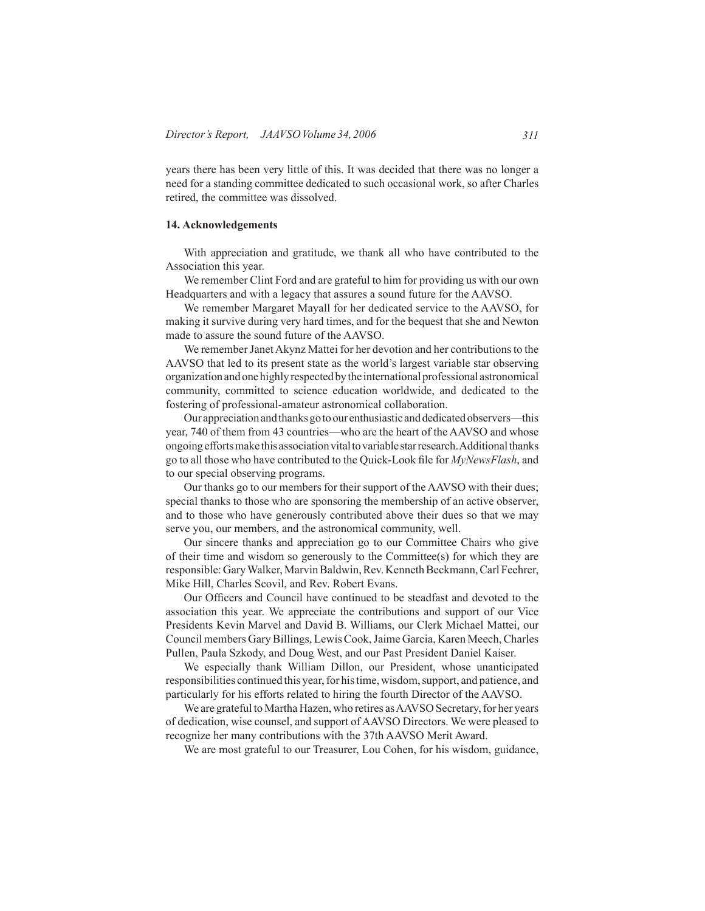years there has been very little of this. It was decided that there was no longer a need for a standing committee dedicated to such occasional work, so after Charles retired, the committee was dissolved.

#### **14. Acknowledgements**

 With appreciation and gratitude, we thank all who have contributed to the Association this year.

We remember Clint Ford and are grateful to him for providing us with our own Headquarters and with a legacy that assures a sound future for the AAVSO.

We remember Margaret Mayall for her dedicated service to the AAVSO, for making it survive during very hard times, and for the bequest that she and Newton made to assure the sound future of the AAVSO.

We remember Janet Akynz Mattei for her devotion and her contributions to the AAVSO that led to its present state as the world's largest variable star observing organizationandonehighlyrespectedbythe internationalprofessional astronomical community, committed to science education worldwide, and dedicated to the fostering of professional-amateur astronomical collaboration.

Our appreciation and thanks go to our enthusiastic and dedicated observers—this year, 740 of them from 43 countries—who are the heart of the AAVSO and whose ongoingeffortsmake this associationvitaltovariablestarresearch.Additionalthanks go to all those who have contributed to the Quick-Look file for *MyNewsFlash*, and to our special observing programs.

Our thanks go to our members for their support of the AAVSO with their dues; special thanks to those who are sponsoring the membership of an active observer, and to those who have generously contributed above their dues so that we may serve you, our members, and the astronomical community, well.

 Our sincere thanks and appreciation go to our Committee Chairs who give of their time and wisdom so generously to the Committee(s) for which they are responsible: Gary Walker, Marvin Baldwin, Rev. Kenneth Beckmann, Carl Feehrer, Mike Hill, Charles Scovil, and Rev. Robert Evans.

Our Officers and Council have continued to be steadfast and devoted to the association this year. We appreciate the contributions and support of our Vice Presidents Kevin Marvel and David B. Williams, our Clerk Michael Mattei, our Council members GaryBillings, LewisCook,Jaime Garcia, Karen Meech,Charles Pullen, Paula Szkody, and Doug West, and our Past President Daniel Kaiser.

 We especially thank William Dillon, our President, whose unanticipated responsibilities continued this year,for histime,wisdom,support, and patience, and particularly for his efforts related to hiring the fourth Director of the AAVSO.

We are grateful to Martha Hazen, who retires as AAVSO Secretary, for her years of dedication, wise counsel, and support of AAVSO Directors. We were pleased to recognize her many contributions with the 37th AAVSO Merit Award.

 We are most grateful to our Treasurer, Lou Cohen, for his wisdom, guidance,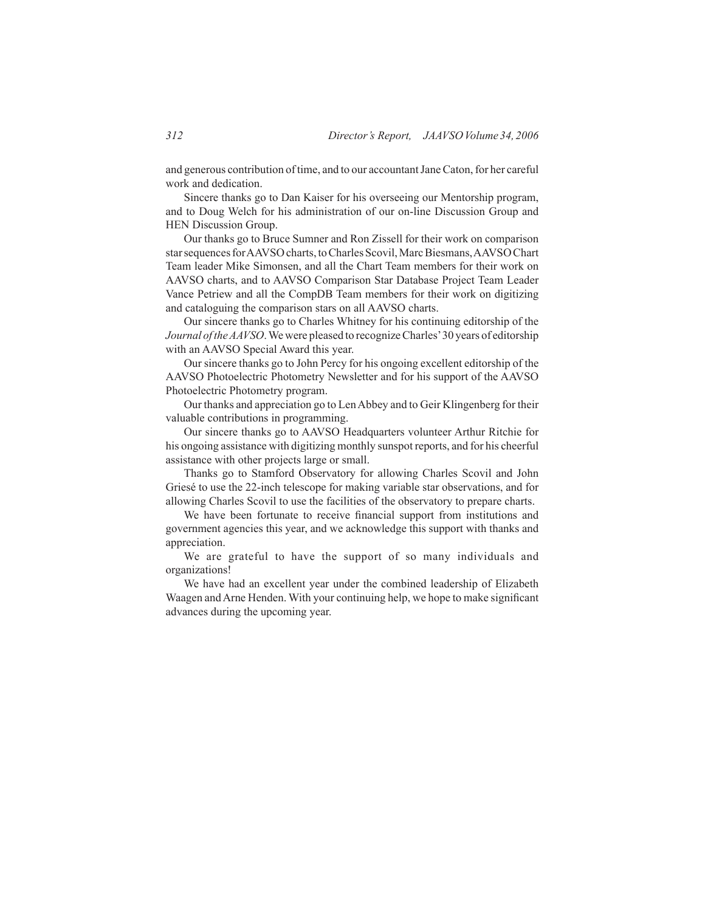and generous contribution of time, and to our accountant Jane Caton, for her careful work and dedication.

Sincere thanks go to Dan Kaiser for his overseeing our Mentorship program, and to Doug Welch for his administration of our on-line Discussion Group and HEN Discussion Group.

 Our thanks go to Bruce Sumner and Ron Zissell for their work on comparison star sequences for AAVSO charts, to Charles Scovil, Marc Biesmans, AAVSO Chart Team leader Mike Simonsen, and all the Chart Team members for their work on AAVSO charts, and to AAVSO Comparison Star Database Project Team Leader Vance Petriew and all the CompDB Team members for their work on digitizing and cataloguing the comparison stars on all AAVSO charts.

 Our sincere thanks go to Charles Whitney for his continuing editorship of the *Journal of the AAVSO*. We were pleased to recognize Charles' 30 years of editorship with an AAVSO Special Award this year.

Our sincere thanks go to John Percy for his ongoing excellent editorship of the AAVSO Photoelectric Photometry Newsletter and for his support of the AAVSO Photoelectric Photometry program.

 Our thanks and appreciation go to LenAbbey and to Geir Klingenberg for their valuable contributions in programming.

 Our sincere thanks go to AAVSO Headquarters volunteer Arthur Ritchie for his ongoing assistance with digitizing monthly sunspot reports, and for his cheerful assistance with other projects large or small.

Thanks go to Stamford Observatory for allowing Charles Scovil and John Griesé to use the 22-inch telescope for making variable star observations, and for allowing Charles Scovil to use the facilities of the observatory to prepare charts.

We have been fortunate to receive financial support from institutions and government agencies this year, and we acknowledge this support with thanks and appreciation.

 We are grateful to have the support of so many individuals and organizations!

We have had an excellent year under the combined leadership of Elizabeth Waagen and Arne Henden. With your continuing help, we hope to make significant advances during the upcoming year.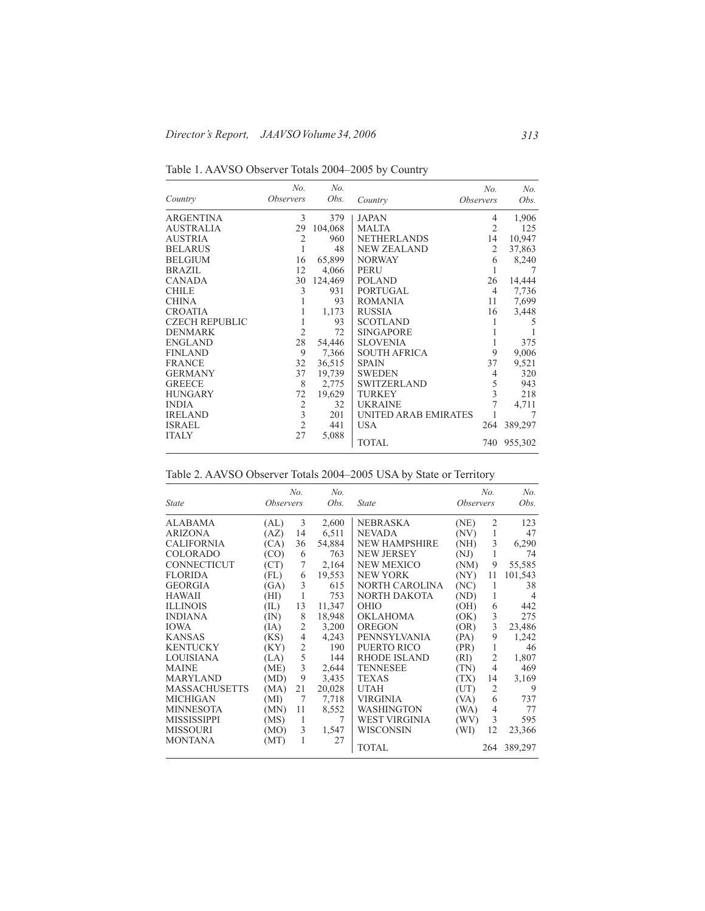|                       | No.                     | No.     |                      | No.                     | No.     |
|-----------------------|-------------------------|---------|----------------------|-------------------------|---------|
| Country               | <i><b>Observers</b></i> | Obs.    | Country              | <i><b>Observers</b></i> | Obs.    |
| ARGENTINA             | 3                       | 379     | <b>JAPAN</b>         | 4                       | 1,906   |
| AUSTRALIA             | 29                      | 104,068 | <b>MALTA</b>         | $\overline{2}$          | 125     |
| AUSTRIA               | $\overline{2}$          | 960     | <b>NETHERLANDS</b>   | 14                      | 10,947  |
| BELARUS               | 1                       | 48      | <b>NEW ZEALAND</b>   | 2                       | 37,863  |
| BELGIUM               | 16                      | 65,899  | <b>NORWAY</b>        | 6                       | 8,240   |
| BRAZIL                | 12                      | 4,066   | <b>PERU</b>          | 1                       |         |
| CANADA                | 30                      | 124,469 | <b>POLAND</b>        | 26                      | 14,444  |
| <b>CHILE</b>          | 3                       | 931     | PORTUGAL             | 4                       | 7,736   |
| CHINA                 |                         | 93      | <b>ROMANIA</b>       | 11                      | 7,699   |
| CROATIA               |                         | 1,173   | <b>RUSSIA</b>        | 16                      | 3,448   |
| <b>CZECH REPUBLIC</b> | 1                       | 93      | <b>SCOTLAND</b>      |                         | 5       |
| DENMARK               | $\overline{2}$          | 72      | <b>SINGAPORE</b>     |                         |         |
| ENGLAND               | 28                      | 54,446  | <b>SLOVENIA</b>      |                         | 375     |
| FINLAND               | 9                       | 7,366   | <b>SOUTH AFRICA</b>  | 9                       | 9,006   |
| <b>FRANCE</b>         | 32                      | 36,515  | <b>SPAIN</b>         | 37                      | 9,521   |
| GERMANY               | 37                      | 19,739  | <b>SWEDEN</b>        | 4                       | 320     |
| <b>GREECE</b>         | 8                       | 2,775   | <b>SWITZERLAND</b>   | $\sqrt{5}$              | 943     |
| HUNGARY               | 72                      | 19,629  | <b>TURKEY</b>        | $\overline{\mathbf{3}}$ | 218     |
| INDIA                 | $\sqrt{2}$              | 32      | <b>UKRAINE</b>       | 7                       | 4,711   |
| IRELAND               | $\frac{1}{2}$           | 201     | UNITED ARAB EMIRATES |                         |         |
| ISRAEL                |                         | 441     | <b>USA</b>           | 264                     | 389,297 |
| ITALY                 | 27                      | 5,088   | <b>TOTAL</b>         | 740                     | 955,302 |

Table 1. AAVSO Observer Totals 2004–2005 by Country

| Table 2. AAVSO Observer Totals 2004–2005 USA by State or Territory |  |  |  |
|--------------------------------------------------------------------|--|--|--|
|                                                                    |  |  |  |

|                      |                         | No.            | No.    |                      |                         | No.            | No.     |
|----------------------|-------------------------|----------------|--------|----------------------|-------------------------|----------------|---------|
| <b>State</b>         | <i><b>Observers</b></i> |                | Obs.   | <b>State</b>         | <i><b>Observers</b></i> |                | Obs.    |
| <b>ALABAMA</b>       | (AL)                    | 3              | 2,600  | <b>NEBRASKA</b>      | (NE)                    | 2              | 123     |
| <b>ARIZONA</b>       | (AZ)                    | 14             | 6,511  | <b>NEVADA</b>        | (NV)                    | 1              | 47      |
| <b>CALIFORNIA</b>    | (CA)                    | 36             | 54,884 | <b>NEW HAMPSHIRE</b> | (NH)                    | 3              | 6,290   |
| <b>COLORADO</b>      | (CO)                    | 6              | 763    | <b>NEW JERSEY</b>    | (NJ)                    | 1              | 74      |
| CONNECTICUT          | (CT)                    | 7              | 2,164  | <b>NEW MEXICO</b>    | (NM)                    | 9              | 55,585  |
| <b>FLORIDA</b>       | (FL)                    | 6              | 19,553 | <b>NEW YORK</b>      | (NY)                    | 11             | 101,543 |
| <b>GEORGIA</b>       | (GA)                    | 3              | 615    | NORTH CAROLINA       | (NC)                    | 1              | 38      |
| <b>HAWAII</b>        | (HI)                    | 1              | 753    | NORTH DAKOTA         | (ND)                    | 1              | 4       |
| <b>ILLINOIS</b>      | (IL)                    | 13             | 11,347 | OHIO                 | (OH)                    | 6              | 442     |
| <b>INDIANA</b>       | (IN)                    | 8              | 18,948 | <b>OKLAHOMA</b>      | (OK)                    | 3              | 275     |
| <b>IOWA</b>          | (IA)                    | $\overline{2}$ | 3,200  | <b>OREGON</b>        | (OR)                    | $\overline{3}$ | 23,486  |
| <b>KANSAS</b>        | (KS)                    | $\overline{4}$ | 4,243  | PENNSYLVANIA         | (PA)                    | 9              | 1,242   |
| <b>KENTUCKY</b>      | (KY)                    | $\overline{2}$ | 190    | PUERTO RICO          | (PR)                    | 1              | 46      |
| <b>LOUISIANA</b>     | (LA)                    | 5              | 144    | <b>RHODE ISLAND</b>  | (RI)                    | $\overline{2}$ | 1,807   |
| <b>MAINE</b>         | (ME)                    | 3              | 2,644  | <b>TENNESEE</b>      | (TN)                    | $\overline{4}$ | 469     |
| <b>MARYLAND</b>      | (MD)                    | 9              | 3,435  | TEXAS                | (TX)                    | 14             | 3,169   |
| <b>MASSACHUSETTS</b> | (MA)                    | 21             | 20,028 | <b>UTAH</b>          | (UT)                    | $\overline{2}$ | 9       |
| <b>MICHIGAN</b>      | (MI)                    | 7              | 7,718  | VIRGINIA             | (VA)                    | 6              | 737     |
| <b>MINNESOTA</b>     | (MN)                    | 11             | 8,552  | WASHINGTON           | (W <sub>A</sub> )       | 4              | 77      |
| <b>MISSISSIPPI</b>   | (MS)                    | 1              | 7      | WEST VIRGINIA        | (WV)                    | 3              | 595     |
| <b>MISSOURI</b>      | (MO)                    | 3              | 1,547  | WISCONSIN            | (WI)                    | 12             | 23,366  |
| <b>MONTANA</b>       | (MT)                    | 1              | 27     | TOTAL                |                         | 264            | 389,297 |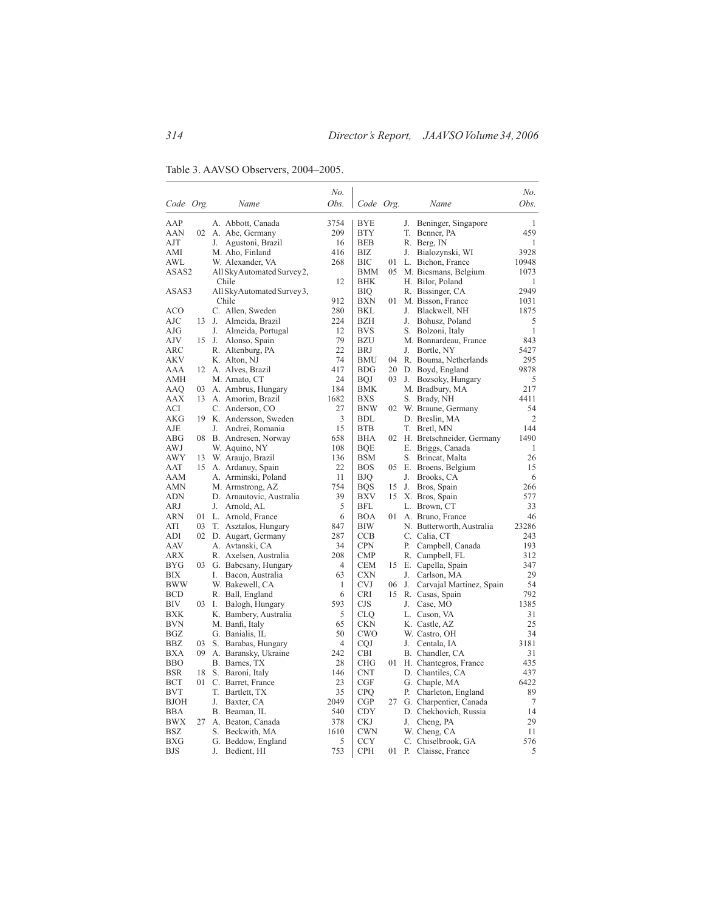Table 3. AAVSO Observers, 2004–2005.

|            |       |                             | No.  |            |     |    |                              | No.   |
|------------|-------|-----------------------------|------|------------|-----|----|------------------------------|-------|
| Code Org.  |       | Name                        | Obs. | Code Org.  |     |    | Name                         | Obs.  |
| AAP        |       | A. Abbott, Canada           | 3754 | <b>BYE</b> |     | J. | Beninger, Singapore          | 1     |
| AAN        |       | 02 A. Abe, Germany          | 209  | <b>BTY</b> |     | T. | Benner, PA                   | 459   |
| AJT        |       | J. Agustoni, Brazil         | 16   | <b>BEB</b> |     |    | R. Berg, IN                  | 1     |
| AMI        |       | M. Aho, Finland             | 416  | BIZ        |     | J. | Bialozynski, WI              | 3928  |
| AWL        |       | W. Alexander, VA            | 268  | BIC        | 01  |    | L. Bichon, France            | 10948 |
| ASAS2      |       | All SkyAutomated Survey2,   |      | BMM        |     |    | 05 M. Biesmans, Belgium      | 1073  |
|            |       | Chile                       | 12   | BHK        |     |    | H. Bilor, Poland             | 1     |
| ASAS3      |       | All Sky Automated Survey 3, |      | BIQ        |     |    | R. Bissinger, CA             | 2949  |
|            |       | Chile                       | 912  | <b>BXN</b> | 01  |    | M. Bisson, France            | 1031  |
| ACO        |       | C. Allen, Sweden            | 280  | BKL        |     | J. | Blackwell, NH                | 1875  |
| AJC        | 13    | J.<br>Almeida, Brazil       | 224  | <b>BZH</b> |     | J. | Bohusz, Poland               | 5     |
| AJG        |       | J.<br>Almeida, Portugal     | 12   | <b>BVS</b> |     |    | S. Bolzoni, Italy            | 1     |
| AJV        | 15 J. | Alonso, Spain               | 79   | BZU        |     |    | M. Bonnardeau, France        | 843   |
| ARC        |       | R. Altenburg, PA            | 22   | <b>BRJ</b> |     | J. | Bortle, NY                   | 5427  |
| <b>AKV</b> |       | K. Alton, NJ                | 74   | <b>BMU</b> | 04  |    | R. Bouma, Netherlands        | 295   |
| AAA        | 12    | A. Alves, Brazil            | 417  | <b>BDG</b> | 20  |    | D. Boyd, England             | 9878  |
| AMH        |       | M. Amato, CT                | 24   | <b>BOJ</b> | 03. | J. | Bozsoky, Hungary             | 5     |
| AAQ        | 03    | A. Ambrus, Hungary          | 184  | BMK        |     |    | M. Bradbury, MA              | 217   |
| AAX        | 13    | A. Amorim, Brazil           | 1682 | <b>BXS</b> |     |    | S. Brady, NH                 | 4411  |
| ACI        |       | C. Anderson, CO             | 27   | <b>BNW</b> | 02  |    | W. Braune, Germany           | 54    |
| AKG        | 19    | K. Andersson, Sweden        | 3    | <b>BDL</b> |     |    | D. Breslin, MA               | 2     |
| AJE        |       | J.<br>Andrei, Romania       | 15   | <b>BTB</b> |     |    | T. Bretl, MN                 | 144   |
| ABG        | 08    | B. Andresen, Norway         | 658  | <b>BHA</b> |     |    | 02 H. Bretschneider, Germany | 1490  |
| AWJ        |       | W. Aquino, NY               | 108  | <b>BQE</b> |     |    | E. Briggs, Canada            | 1     |
| AWY        | 13    | W. Araujo, Brazil           | 136  | <b>BSM</b> |     |    | S. Brincat, Malta            | 26    |
| AAT        |       | 15 A. Ardanuy, Spain        | 22   | BOS        | 05  |    | E. Broens, Belgium           | 15    |
| AAM        |       | A. Arminski, Poland         | 11   | BJQ        |     | J. | Brooks, CA                   | 6     |
| AMN        |       | M. Armstrong, AZ            | 754  | <b>BQS</b> | 15  | J. | Bros, Spain                  | 266   |
| ADN        |       | D. Arnautovic, Australia    | 39   | BXV        | 15  |    | X. Bros, Spain               | 577   |
| ARJ        |       | J. Arnold, AL               | 5    | BFL        |     |    | L. Brown, CT                 | 33    |
| ARN        |       | 01 L. Arnold, France        | 6    | <b>BOA</b> | 01  |    | A. Bruno, France             | 46    |
| ATI        | 03    | T. Asztalos, Hungary        | 847  | <b>BIW</b> |     |    | N. Butterworth, Australia    | 23286 |
| ADI        |       | 02 D. Augart, Germany       | 287  | <b>CCB</b> |     |    | C. Calia, CT                 | 243   |
| AAV        |       | A. Avtanski, CA             | 34   | <b>CPN</b> |     | Р. | Campbell, Canada             | 193   |
| ARX        |       | R. Axelsen, Australia       | 208  | <b>CMP</b> |     |    | R. Campbell, FL              | 312   |
| BYG        | 03    | G. Babcsany, Hungary        | 4    | <b>CEM</b> | 15  |    | E. Capella, Spain            | 347   |
| <b>BIX</b> |       | Bacon, Australia<br>I.      | 63   | <b>CXN</b> |     | J. | Carlson, MA                  | 29    |
| <b>BWW</b> |       | W. Bakewell, CA             | 1    | <b>CVJ</b> | 06  | J. | Carvajal Martinez, Spain     | 54    |
| BCD        |       | R. Ball, England            | 6    | <b>CRI</b> | 15  |    | R. Casas, Spain              | 792   |
| BIV        | 03 I. | Balogh, Hungary             | 593  | CJS        |     | J. | Case, MO                     | 1385  |
| BXK        |       | K. Bambery, Australia       | 5    | <b>CLQ</b> |     |    | L. Cason, VA                 | 31    |
| BVN        |       | M. Banfi, Italy             | 65   | <b>CKN</b> |     |    | K. Castle, AZ                | 25    |
| BGZ        |       | G. Banialis, IL             | 50   | CWO        |     |    | W. Castro, OH                | 34    |
| BBZ        | 03    | S. Barabas, Hungary         | 4    | <b>CQJ</b> |     | J. | Centala, IA                  | 3181  |
| BXA        | 09    | A. Baransky, Ukraine        | 242  | CBI        |     |    | B. Chandler, CA              | 31    |
| <b>BBO</b> |       | B. Barnes, TX               | 28   | <b>CHG</b> | 01  |    | H. Chantegros, France        | 435   |
| BSR        | 18    | S. Baroni, Italy            | 146  | <b>CNT</b> |     |    | D. Chantiles, CA             | 437   |
| BCT        | 01    | C. Barret, France           | 23   | CGF        |     |    | G. Chaple, MA                | 6422  |
| BVT        |       | T.<br>Bartlett, TX          | 35   | <b>CPO</b> |     | Р. | Charleton, England           | 89    |
| BJOH       |       | J.<br>Baxter, CA            | 2049 | CGP        | 27  |    | G. Charpentier, Canada       | 7     |
| BBA        |       | B. Beaman, IL               | 540  | <b>CDY</b> |     |    | D. Chekhovich, Russia        | 14    |
| BWX        | 27    | A. Beaton, Canada           | 378  | <b>CKJ</b> |     | J. | Cheng, PA                    | 29    |
| BSZ        |       | S. Beckwith, MA             | 1610 | <b>CWN</b> |     |    | W. Cheng, CA                 | 11    |
| BXG        |       | G. Beddow, England          | 5    | <b>CCY</b> |     |    | C. Chiselbrook, GA           | 576   |
| BJS        |       | J.<br>Bedient, HI           | 753  | <b>CPH</b> |     |    | 01 P. Claisse, France        | 5     |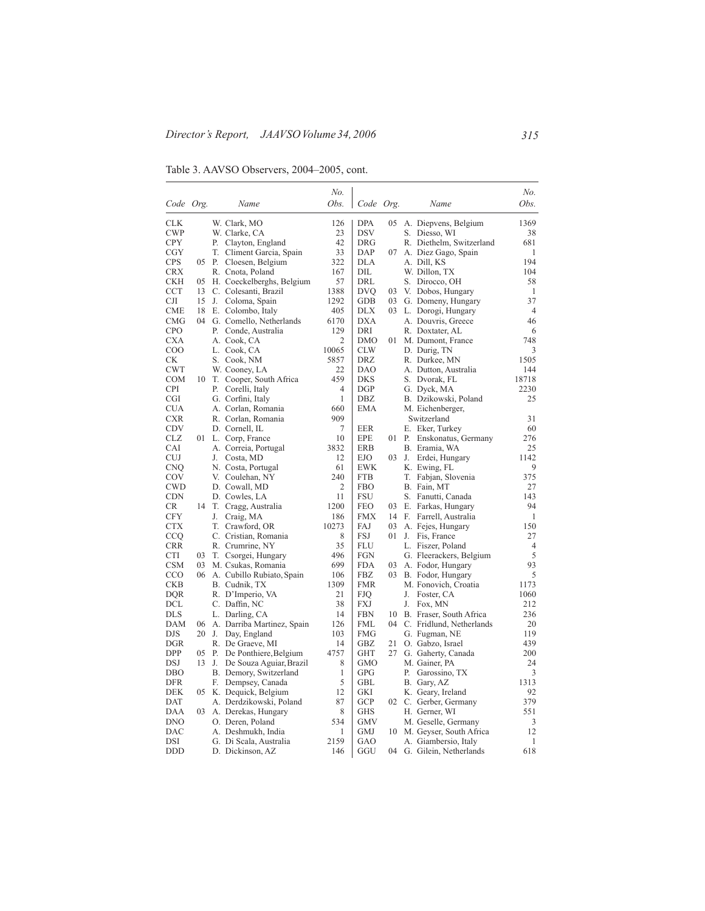Table 3. AAVSO Observers, 2004–2005, cont.

|            |       |       |                              | No.            |            |      |    |                            | No.            |
|------------|-------|-------|------------------------------|----------------|------------|------|----|----------------------------|----------------|
| Code Org.  |       |       | Name                         | Obs.           | Code Org.  |      |    | Name                       | Obs.           |
| <b>CLK</b> |       |       | W. Clark, MO                 | 126            | <b>DPA</b> |      |    | 05 A. Diepvens, Belgium    | 1369           |
| <b>CWP</b> |       |       | W. Clarke, CA                | 23             | <b>DSV</b> |      |    | S. Diesso, WI              | 38             |
| <b>CPY</b> |       | Р.    | Clayton, England             | 42             | <b>DRG</b> |      |    | R. Diethelm, Switzerland   | 681            |
| CGY        |       | T.    | Climent Garcia, Spain        | 33             | DAP        | 07   |    | A. Diez Gago, Spain        | 1              |
| <b>CPS</b> | 05    | P.    | Cloesen, Belgium             | 322            | DLA        |      |    | A. Dill, KS                | 194            |
| CRX        |       |       | R. Cnota, Poland             | 167            | DIL        |      |    | W. Dillon, TX              | 104            |
| CKH        | 05    |       | H. Coeckelberghs, Belgium    | 57             | DRL        |      |    | S. Dirocco, OH             | 58             |
| CCT        | 13    |       | C. Colesanti, Brazil         | 1388           | <b>DVQ</b> | 03   |    | V. Dobos, Hungary          | 1              |
| CЛ         | 15    | J.    | Coloma, Spain                | 1292           | GDB        | 03   |    | G. Domeny, Hungary         | 37             |
| CME        |       |       | 18 E. Colombo, Italy         | 405            | DLX        |      |    | 03 L. Dorogi, Hungary      | $\overline{4}$ |
| <b>CMG</b> |       |       | 04 G. Comello, Netherlands   | 6170           | DXA        |      |    | A. Douvris, Greece         | 46             |
| <b>CPO</b> |       | Р.    | Conde, Australia             | 129            | DRI        |      |    | R. Doxtater, AL            | 6              |
| CXA        |       |       | A. Cook, CA                  | 2              | DMO        | 01-  |    | M. Dumont, France          | 748            |
| COO        |       |       | L. Cook, CA                  | 10065          | <b>CLW</b> |      |    | D. Durig, TN               | 3              |
| СK         |       | S.    | Cook, NM                     | 5857           | DRZ        |      |    | R. Durkee, MN              | 1505           |
| <b>CWT</b> |       |       | W. Cooney, LA                | 22             | <b>DAO</b> |      |    | A. Dutton, Australia       | 144            |
| COM        |       | 10 T. | Cooper, South Africa         | 459            | <b>DKS</b> |      |    | S. Dvorak, FL              | 18718          |
| <b>CPI</b> |       | Р.    | Corelli, Italy               | $\overline{4}$ | <b>DGP</b> |      |    | G. Dyck, MA                | 2230           |
| CGI        |       |       | G. Corfini, Italy            | $\mathbf{1}$   | DBZ        |      |    | B. Dzikowski, Poland       | 25             |
| CUA        |       |       | A. Corlan, Romania           | 660            | EMA        |      |    | M. Eichenberger,           |                |
| CXR        |       |       | R. Corlan, Romania           | 909            |            |      |    | Switzerland                | 31             |
| CDV        |       |       | D. Cornell, IL               | 7              | EER        |      |    | E. Eker, Turkey            | 60             |
| CLZ        |       |       | 01 L. Corp, France           | 10             | EPE        | 01 - | Р. | Enskonatus, Germany        | 276            |
| <b>CAI</b> |       |       | A. Correia, Portugal         | 3832           | <b>ERB</b> |      |    | B. Eramia, WA              | 25             |
| CUJ        |       | J.    | Costa, MD                    | 12             | EJO        | 03   | J. | Erdei, Hungary             | 1142           |
| CNQ        |       |       | N. Costa, Portugal           | 61             | <b>EWK</b> |      |    | K. Ewing, FL               | 9              |
| COV        |       |       | V. Coulehan, NY              | 240            | <b>FTB</b> |      |    | T. Fabjan, Slovenia        | 375            |
| CWD        |       |       | D. Cowall, MD                | $\overline{2}$ | <b>FBO</b> |      |    | B. Fain, MT                | 27             |
| <b>CDN</b> |       |       | D. Cowles, LA                | 11             | FSU        |      |    | S. Fanutti, Canada         | 143            |
| CR.        | 14    |       | T. Cragg, Australia          | 1200           | <b>FEO</b> | 03   |    | E. Farkas, Hungary         | 94             |
| <b>CFY</b> |       | J.    | Craig, MA                    | 186            | <b>FMX</b> | 14   | F. | Farrell, Australia         | 1              |
| <b>CTX</b> |       |       | T. Crawford, OR              | 10273          | FAJ        | 03   |    | A. Fejes, Hungary          | 150            |
| CCQ        |       |       | C. Cristian, Romania         | 8              | <b>FSJ</b> | 01   | J. | Fis, France                | 27             |
| <b>CRR</b> |       |       | R. Crumrine, NY              | 35             | <b>FLU</b> |      |    | L. Fiszer, Poland          | 4              |
| CTI        | 03    |       | T. Csorgei, Hungary          | 496            | FGN        |      |    | G. Fleerackers, Belgium    | 5              |
| CSM        |       |       | 03 M. Csukas, Romania        | 699            | FDA        |      |    | 03 A. Fodor, Hungary       | 93             |
| <b>CCO</b> |       |       | 06 A. Cubillo Rubiato, Spain | 106            | FBZ        | 03.  |    | B. Fodor, Hungary          | 5              |
| CKB        |       |       | B. Cudnik, TX                | 1309           | <b>FMR</b> |      |    | M. Fonovich, Croatia       | 1173           |
| DQR        |       |       | R. D'Imperio, VA             | 21             | FJQ        |      |    | J. Foster, CA              | 1060           |
| DCL        |       |       | C. Daffin, NC                | 38             | <b>FXJ</b> |      | J. | Fox, MN                    | 212            |
| DLS        |       |       | L. Darling, CA               | 14             | <b>FBN</b> | 10   |    | B. Fraser, South Africa    | 236            |
| DAM        | 06    |       | A. Darriba Martinez, Spain   | 126            | <b>FML</b> | 04   |    | C. Fridlund, Netherlands   | 20             |
| DJS        |       |       | 20 J. Day, England           | 103            | <b>FMG</b> |      |    | G. Fugman, NE              | 119            |
| DGR        |       |       | R. De Graeve, MI             | 14             | <b>GBZ</b> | 21   |    | O. Gabzo, Israel           | 439            |
| DPP        | 05 P. |       | De Ponthiere, Belgium        | 4757           | GHT        | 27   |    | G. Gaherty, Canada         | 200            |
| DSJ        | 13    | J.    | De Souza Aguiar, Brazil      | 8              | <b>GMO</b> |      |    | M. Gainer, PA              | 24             |
| DBO        |       |       | B. Demory, Switzerland       | 1              | <b>GPG</b> |      | Р. | Garossino, TX              | 3              |
| DFR        |       |       | F. Dempsey, Canada           | 5              | <b>GBL</b> |      |    | B. Gary, AZ                | 1313           |
| DEK        |       |       | 05 K. Dequick, Belgium       | 12             | GKI        |      |    | K. Geary, Ireland          | 92             |
| DAT        |       |       | A. Derdzikowski, Poland      | 87             | <b>GCP</b> |      |    | 02 C. Gerber, Germany      | 379            |
| DAA        |       |       | 03 A. Derekas, Hungary       | 8              | <b>GHS</b> |      |    | H. Gerner, WI              | 551            |
| DNO        |       |       | O. Deren, Poland             | 534            | GMV        |      |    | M. Geselle, Germany        | 3              |
| DAC        |       |       | A. Deshmukh, India           | 1              | <b>GMJ</b> |      |    | 10 M. Geyser, South Africa | 12             |
| DSI        |       |       | G. Di Scala, Australia       | 2159           | GAO        |      |    | A. Giambersio, Italy       | 1              |
| DDD        |       |       | D. Dickinson, AZ             | 146            | GGU        | 04   |    | G. Gilein, Netherlands     | 618            |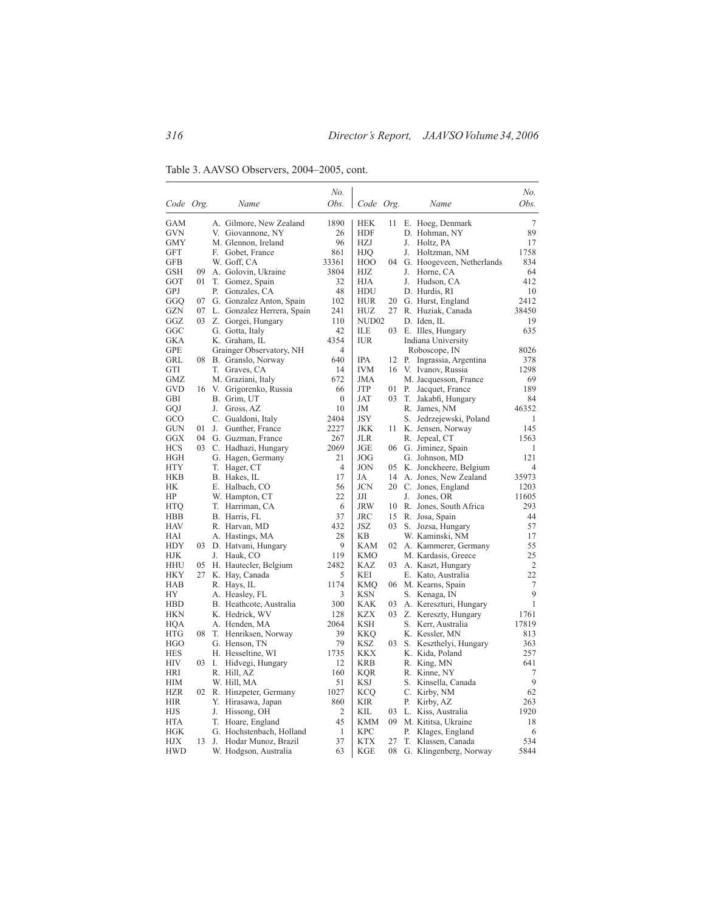Table 3. AAVSO Observers, 2004–2005, cont.

|            |               |    |                               | No.              |                   |     |    |                              | No.            |
|------------|---------------|----|-------------------------------|------------------|-------------------|-----|----|------------------------------|----------------|
| Code Org.  |               |    | Name                          | Obs.             | Code Org.         |     |    | Name                         | Obs.           |
| GAM        |               |    | A. Gilmore, New Zealand       | 1890             | <b>HEK</b>        | 11  |    | E. Hoeg, Denmark             | 7              |
| GVN        |               |    | V. Giovannone, NY             | 26               | <b>HDF</b>        |     |    | D. Hohman, NY                | 89             |
| GMY        |               |    | M. Glennon, Ireland           | 96               | <b>HZJ</b>        |     |    | J. Holtz, PA                 | 17             |
| GFT        |               |    | F. Gobet, France              | 861              | HJQ               |     | J. | Holtzman, NM                 | 1758           |
| GFB        |               |    | W. Goff, CA                   | 33361            | HOO               |     |    | 04 G. Hoogeveen, Netherlands | 834            |
| GSH        | 09            |    | A. Golovin, Ukraine           | 3804             | HJZ               |     | J. | Horne, CA                    | 64             |
| GOT        | 01            |    | T. Gomez, Spain               | 32               | HЈА               |     | J. | Hudson, CA                   | 412            |
| GPJ        |               |    | P. Gonzales, CA               | 48               | HDU               |     |    | D. Hurdis, RI                | 10             |
| GGO        |               |    | 07 G. Gonzalez Anton, Spain   | 102              | HUR               | 20  |    | G. Hurst, England            | 2412           |
| GZN        |               |    | 07 L. Gonzalez Herrera, Spain | 241              | HUZ               | 27  |    | R. Huziak, Canada            | 38450          |
| GGZ        |               |    | 03 Z. Gorgei, Hungary         | 110              | NUD <sub>02</sub> |     |    | D. Iden, IL                  | 19             |
| GGC        |               |    | G. Gotta, Italy               | 42               | ILЕ               | 03  |    | E. Illes, Hungary            | 635            |
| GKA        |               |    | K. Graham, IL                 | 4354             | <b>IUR</b>        |     |    | Indiana University           |                |
| GPE        |               |    | Grainger Observatory, NH      | 4                |                   |     |    | Roboscope, IN                | 8026           |
| GRL        |               |    | 08 B. Granslo, Norway         | 640              | <b>IPA</b>        | 12  | Р. | Ingrassia, Argentina         | 378            |
| GTI        |               |    | T. Graves, CA                 | 14               | <b>IVM</b>        | 16  |    | V. Ivanov, Russia            | 1298           |
| GMZ        |               |    | M. Graziani, Italy            | 672              | JMA               |     |    | M. Jacquesson, France        | 69             |
| GVD        | 16            |    | V. Grigorenko, Russia         | 66               | JTP               | 01  |    | P. Jacquet, France           | 189            |
| GBI        |               |    | B. Grim, UT                   | $\boldsymbol{0}$ | JAT               | 03  |    | T. Jakabfi, Hungary          | 84             |
| GQJ        |               | J. | Gross, AZ                     | 10               | JM                |     |    | R. James, NM                 | 46352          |
| GCO        |               |    | C. Gualdoni, Italy            | 2404             | JSY               |     |    | S. Jedrzejewski, Poland      | 1              |
| <b>GUN</b> | 01            |    | J. Gunther, France            | 2227             | <b>JKK</b>        | 11  |    | K. Jensen, Norway            | 145            |
| GGX        |               |    | 04 G. Guzman, France          | 267              | JLR               |     |    | R. Jepeal, CT                | 1563           |
| HCS        |               |    | 03 C. Hadhazi, Hungary        | 2069             | JGE               |     |    | 06 G. Jiminez, Spain         | 1              |
| HGH        |               |    | G. Hagen, Germany             | 21               | JOG               |     |    | G. Johnson, MD               | 121            |
| HTY        |               |    | T. Hager, CT                  | 4                | <b>JON</b>        | 05  |    | K. Jonckheere, Belgium       | $\overline{4}$ |
| HKB        |               |    | B. Hakes, IL                  | 17               | JA                | 14  |    | A. Jones, New Zealand        | 35973          |
| НK         |               |    | E. Halbach, CO                | 56               | <b>JCN</b>        | 20  |    | C. Jones, England            | 1203           |
| HP         |               |    | W. Hampton, CT                | 22               | Л                 |     |    | J. Jones, OR                 | 11605          |
| <b>HTQ</b> |               |    | T. Harriman, CA               | 6                | JRW               | 10  |    | R. Jones, South Africa       | 293            |
| HBB        |               |    | B. Harris, FL                 | 37               | JRC               | 15  |    | R. Josa, Spain               | 44             |
| HAV        |               |    | R. Harvan, MD                 | 432              | JSZ               | 03. |    | S. Jozsa, Hungary            | 57             |
| HAI        |               |    | A. Hastings, MA               | 28               | KB                |     |    | W. Kaminski, NM              | 17             |
| <b>HDY</b> |               |    | 03 D. Hatvani, Hungary        | 9                | <b>KAM</b>        |     |    | 02 A. Kammerer, Germany      | 55             |
| HJK        |               | J. | Hauk, CO                      | 119              | <b>KMO</b>        |     |    | M. Kardasis, Greece          | 25             |
| <b>HHU</b> |               |    | 05 H. Hautecler, Belgium      | 2482             | KAZ               | 03  |    | A. Kaszt, Hungary            | $\overline{c}$ |
| HKY        | 27            |    | K. Hay, Canada                | 5                | <b>KEI</b>        |     |    | E. Kato, Australia           | 22             |
| HAB        |               |    | R. Hays, IL                   | 1174             | KMO               |     |    | 06 M. Kearns, Spain          | $\tau$         |
| НY         |               |    | A. Heasley, FL                | 3                | <b>KSN</b>        |     |    | S. Kenaga, IN                | 9              |
| HBD        |               |    | B. Heathcote, Australia       | 300              | KAK               | 03  |    | A. Kereszturi, Hungary       | 1              |
| HKN        |               |    | K. Hedrick, WV                | 128              | KZX               |     |    | 03 Z. Kereszty, Hungary      | 1761           |
| HQA        |               |    | A. Henden, MA                 | 2064             | KSH               |     |    | S. Kerr, Australia           | 17819          |
| <b>HTG</b> | 08            |    | T. Henriksen, Norway          | 39               | <b>KKQ</b>        |     |    | K. Kessler, MN               | 813            |
| <b>HGO</b> |               |    | G. Henson, TN                 | 79               | <b>KSZ</b>        | 03  |    | S. Keszthelyi, Hungary       | 363            |
| <b>HES</b> |               |    | H. Hesseltine, WI             | 1735             | KKX               |     |    | K. Kida, Poland              | 257            |
| HIV        | $03 \quad 1.$ |    | Hidvegi, Hungary              | 12               | KRB               |     |    | R. King, MN                  | 641            |
| HRI        |               |    | R. Hill, AZ                   | 160              | KQR               |     |    | R. Kinne, NY                 | 7              |
| HІМ        |               |    | W. Hill, MA                   | 51               | KSJ               |     |    | S. Kinsella, Canada          | 9              |
| HZR        |               |    | 02 R. Hinzpeter, Germany      | 1027             | <b>KCQ</b>        |     |    | C. Kirby, NM                 | 62             |
| <b>HIR</b> |               |    | Y. Hirasawa, Japan            | 860              | <b>KIR</b>        |     | Р. | Kirby, AZ                    | 263            |
| HJS        |               | J. | Hissong, OH                   | 2                | KIL               | 03  |    | L. Kiss, Australia           | 1920           |
| <b>HTA</b> |               |    | T. Hoare, England             | 45               | <b>KMM</b>        |     |    | 09 M. Kititsa, Ukraine       | 18             |
| HGK        |               |    | G. Hochstenbach, Holland      | 1                | <b>KPC</b>        |     | Р. | Klages, England              | 6              |
| НJХ        | 13            |    | J. Hodar Munoz, Brazil        | 37               | <b>KTX</b>        | 27  |    | T. Klassen, Canada           | 534            |
| <b>HWD</b> |               |    | W. Hodgson, Australia         | 63               | KGE               | 08  |    | G. Klingenberg, Norway       | 5844           |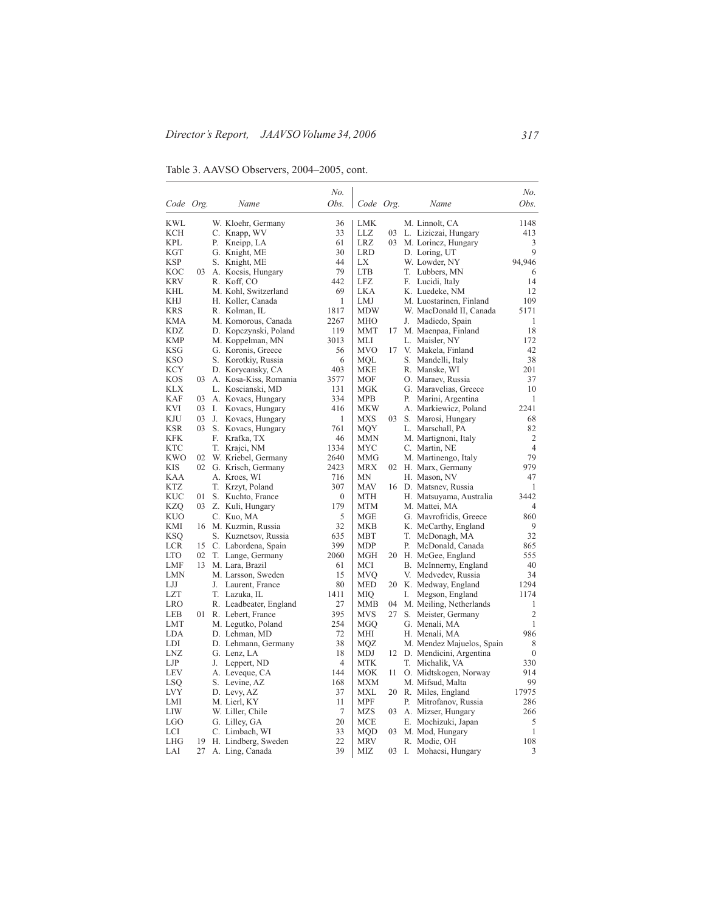Table 3. AAVSO Observers, 2004–2005, cont.

|            |     |    |                                  | No.            |                          |    |    |                                            | No.              |
|------------|-----|----|----------------------------------|----------------|--------------------------|----|----|--------------------------------------------|------------------|
| Code Org.  |     |    | Name                             | Obs.           | Code Org.                |    |    | Name                                       | Obs.             |
| <b>KWL</b> |     |    | W. Kloehr, Germany               | 36             | <b>LMK</b>               |    |    | M. Linnolt, CA                             | 1148             |
| <b>KCH</b> |     |    | C. Knapp, WV                     | 33             | LLZ                      | 03 |    | L. Liziczai, Hungary                       | 413              |
| <b>KPL</b> |     | Р. | Kneipp, LA                       | 61             | <b>LRZ</b>               | 03 |    | M. Lorincz, Hungary                        | 3                |
| KGT        |     |    | G. Knight, ME                    | 30             | <b>LRD</b>               |    |    | D. Loring, UT                              | 9                |
| <b>KSP</b> |     | S. | Knight, ME                       | 44             | LX                       |    |    | W. Lowder, NY                              | 94,946           |
| KOC        | 03  |    | A. Kocsis, Hungary               | 79             | <b>LTB</b>               |    |    | T. Lubbers, MN                             | 6                |
| <b>KRV</b> |     |    | R. Koff, CO                      | 442            | LFZ                      |    |    | F. Lucidi, Italy                           | 14               |
| KHL        |     |    | M. Kohl, Switzerland             | 69             | <b>LKA</b>               |    |    | K. Luedeke, NM                             | 12               |
| KHJ        |     |    | H. Koller, Canada                | 1              | LMJ                      |    |    | M. Luostarinen, Finland                    | 109              |
| <b>KRS</b> |     |    | R. Kolman, IL                    | 1817           | <b>MDW</b>               |    |    | W. MacDonald II, Canada                    | 5171             |
| <b>KMA</b> |     |    | M. Komorous, Canada              | 2267           | <b>MHO</b>               |    | J. | Madiedo, Spain                             | 1                |
| KDZ        |     |    | D. Kopczynski, Poland            | 119            | MMT                      | 17 |    | M. Maenpaa, Finland                        | 18               |
| <b>KMP</b> |     |    | M. Koppelman, MN                 | 3013           | MLI                      |    |    | L. Maisler, NY                             | 172              |
| KSG        |     |    | G. Koronis, Greece               | 56             | <b>MVO</b>               | 17 |    | V. Makela, Finland                         | 42               |
| <b>KSO</b> |     |    | S. Korotkiy, Russia              | 6              | MQL                      |    |    | S. Mandelli, Italy                         | 38               |
| <b>KCY</b> |     |    | D. Korycansky, CA                | 403            | <b>MKE</b>               |    |    | R. Manske, WI                              | 201              |
| <b>KOS</b> | 03  |    | A. Kosa-Kiss, Romania            | 3577           | <b>MOF</b>               |    |    | O. Maraev, Russia                          | 37               |
| KLX        |     |    | L. Koscianski, MD                | 131            | MGK                      |    |    | G. Maravelias, Greece                      | 10               |
| KAF        | 03  |    | A. Kovacs, Hungary               | 334            | MPB                      |    | Р. | Marini, Argentina                          | 1                |
| <b>KVI</b> | 03  | L. | Kovacs, Hungary                  | 416            | MKW                      |    |    | A. Markiewicz, Poland                      | 2241             |
| KJU        | 03  | J. | Kovacs, Hungary                  | 1              | MXS                      | 03 |    | S. Marosi, Hungary                         | 68               |
| <b>KSR</b> | 03. |    | S. Kovacs, Hungary               | 761            | MQY                      |    |    | L. Marschall, PA                           | 82               |
| <b>KFK</b> |     | F. | Krafka, TX                       | 46             | <b>MMN</b>               |    |    | M. Martignoni, Italy                       | $\overline{c}$   |
| <b>KTC</b> |     |    | T. Krajci, NM                    | 1334           | <b>MYC</b>               |    |    | C. Martin, NE                              | $\overline{4}$   |
| <b>KWO</b> |     |    | 02 W. Kriebel, Germany           | 2640           | MMG                      |    |    | M. Martinengo, Italy                       | 79               |
| KIS        |     |    | 02 G. Krisch, Germany            | 2423           | MRX                      | 02 |    | H. Marx, Germany                           | 979              |
| KAA        |     |    | A. Kroes, WI                     | 716            | MΝ                       |    |    | H. Mason, NV                               | 47               |
| KTZ        |     |    | T. Krzyt, Poland                 | 307            | MAV                      | 16 |    | D. Matsney, Russia                         | 1                |
| <b>KUC</b> | 01  |    | S. Kuchto, France                | $\theta$       | <b>MTH</b>               |    |    | H. Matsuyama, Australia                    | 3442             |
| <b>KZQ</b> |     |    | 03 Z. Kuli, Hungary              | 179            | <b>MTM</b>               |    |    | M. Mattei, MA                              | $\overline{4}$   |
| <b>KUO</b> |     |    | C. Kuo, MA                       | 5              | <b>MGE</b>               |    |    | G. Mavrofridis, Greece                     | 860              |
| KMI        | 16  |    | M. Kuzmin, Russia                | 32             | <b>MKB</b>               |    |    | K. McCarthy, England                       | 9                |
| <b>KSQ</b> |     |    | S. Kuznetsov, Russia             | 635            | <b>MBT</b>               |    |    | T. McDonagh, MA                            | 32               |
| <b>LCR</b> | 15  |    | C. Labordena, Spain              | 399            | <b>MDP</b>               |    | Р. | McDonald, Canada                           | 865              |
| <b>LTO</b> | 02  |    | T. Lange, Germany                | 2060           | <b>MGH</b>               | 20 |    | H. McGee, England                          | 555              |
| LMF        | 13  |    | M. Lara, Brazil                  | 61             | MCI                      |    |    | B. McInnerny, England                      | 40<br>34         |
| LMN<br>LJJ |     |    | M. Larsson, Sweden               | 15<br>80       | <b>MVQ</b><br><b>MED</b> | 20 |    | V. Medvedev, Russia                        | 1294             |
| <b>LZT</b> |     | J. | Laurent, France<br>T. Lazuka, IL | 1411           | MIQ                      |    | I. | K. Medway, England                         | 1174             |
| <b>LRO</b> |     |    | R. Leadbeater, England           | 27             | <b>MMB</b>               | 04 |    | Megson, England<br>M. Meiling, Netherlands | 1                |
| LEB        | 01. |    | R. Lebert, France                | 395            | <b>MVS</b>               | 27 |    | S. Meister, Germany                        | $\overline{c}$   |
| LMT        |     |    | M. Legutko, Poland               | 254            | MGO                      |    |    | G. Menali, MA                              | 1                |
| LDA        |     |    | D. Lehman, MD                    | 72             | MHI                      |    |    | H. Menali, MA                              | 986              |
| LDI        |     |    | D. Lehmann, Germany              | 38             | MQZ                      |    |    | M. Mendez Majuelos, Spain                  | 8                |
| LNZ        |     |    | G. Lenz, LA                      | 18             | MDJ                      | 12 |    | D. Mendicini, Argentina                    | $\boldsymbol{0}$ |
| LJP        |     | J. | Leppert, ND                      | $\overline{4}$ | <b>MTK</b>               |    |    | T. Michalik, VA                            | 330              |
| <b>LEV</b> |     |    | A. Leveque, CA                   | 144            | <b>MOK</b>               | 11 |    | O. Midtskogen, Norway                      | 914              |
| LSQ        |     |    | S. Levine, AZ                    | 168            | <b>MXM</b>               |    |    | M. Mifsud, Malta                           | 99               |
| <b>LVY</b> |     |    | D. Levy, AZ                      | 37             | <b>MXL</b>               | 20 |    | R. Miles, England                          | 17975            |
| LMI        |     |    | M. Lierl, KY                     | 11             | <b>MPF</b>               |    | Р. | Mitrofanov, Russia                         | 286              |
| <b>LIW</b> |     |    | W. Liller, Chile                 | $\overline{7}$ | <b>MZS</b>               | 03 |    | A. Mizser, Hungary                         | 266              |
| <b>LGO</b> |     |    | G. Lilley, GA                    | 20             | <b>MCE</b>               |    |    | E. Mochizuki, Japan                        | 5                |
| LCI        |     |    | C. Limbach, WI                   | 33             | MQD                      | 03 |    | M. Mod, Hungary                            | $\mathbf{1}$     |
| LHG        | 19  |    | H. Lindberg, Sweden              | 22             | MRV                      |    |    | R. Modic, OH                               | 108              |
| LAI        | 27  |    | A. Ling, Canada                  | 39             | MIZ                      | 03 | I. | Mohacsi, Hungary                           | 3                |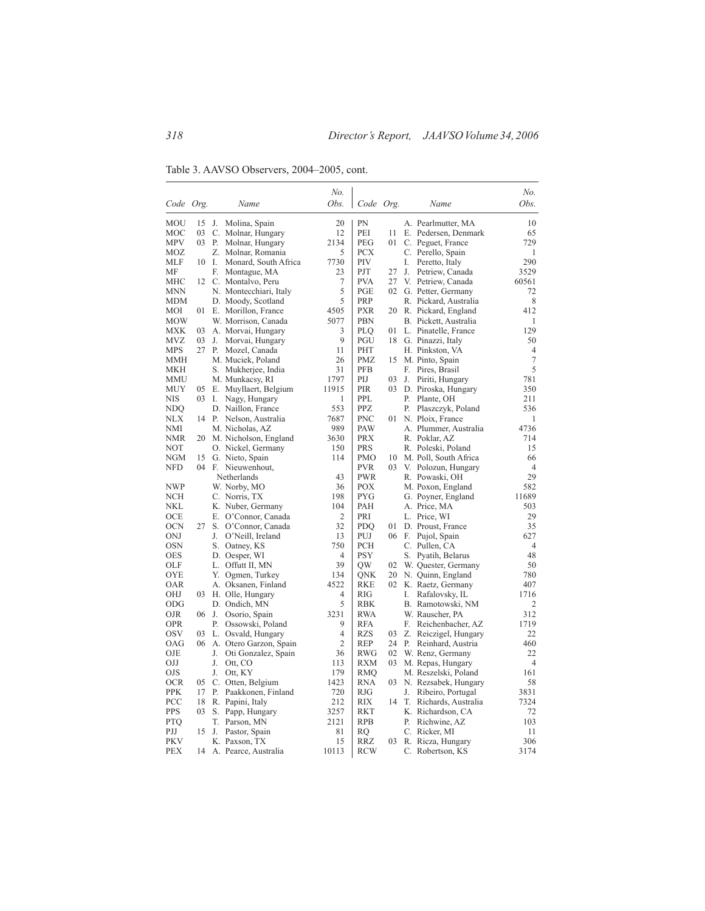Table 3. AAVSO Observers, 2004–2005, cont.

|            |       |      |                          | No.            |            |    |    |                       | No.            |
|------------|-------|------|--------------------------|----------------|------------|----|----|-----------------------|----------------|
| Code Org.  |       |      | Name                     | Obs.           | Code Org.  |    |    | Name                  | Obs.           |
|            |       |      |                          |                |            |    |    |                       |                |
| <b>MOU</b> | 15    | J.   | Molina, Spain            | 20             | PN         |    |    | A. Pearlmutter, MA    | 10             |
| MOC        | 03    | C.   | Molnar, Hungary          | 12             | PEI        | 11 |    | E. Pedersen, Denmark  | 65             |
| <b>MPV</b> | 03    | Р.   | Molnar, Hungary          | 2134           | PEG        | 01 |    | C. Peguet, France     | 729            |
| MOZ        |       |      | Z. Molnar, Romania       | 5              | <b>PCX</b> |    |    | C. Perello, Spain     | 1              |
| MLF        | 10    | - I. | Monard, South Africa     | 7730           | PIV        |    | I. | Peretto, Italy        | 290            |
| МF         |       | F.   | Montague, MA             | 23             | PJT        | 27 | J. | Petriew, Canada       | 3529           |
| MHC        |       |      | 12 C. Montalvo, Peru     | 7              | <b>PVA</b> | 27 |    | V. Petriew, Canada    | 60561          |
| MNN        |       |      | N. Montecchiari, Italy   | 5              | <b>PGE</b> | 02 |    | G. Petter, Germany    | 72             |
| MDM        |       |      | D. Moody, Scotland       | 5              | <b>PRP</b> |    |    | R. Pickard, Australia | 8              |
| MOI        | 01    |      | E. Morillon, France      | 4505           | <b>PXR</b> | 20 |    | R. Pickard, England   | 412            |
| MOW        |       |      | W. Morrison, Canada      | 5077           | <b>PBN</b> |    |    | B. Pickett, Australia | 1              |
| MXK        | 03    |      | A. Morvai, Hungary       | 3              | <b>PLO</b> | 01 |    | L. Pinatelle, France  | 129            |
| <b>MVZ</b> | 03    | J.   | Morvai, Hungary          | 9              | PGU        |    |    | 18 G. Pinazzi, Italy  | 50             |
| <b>MPS</b> | 27    | Р.   | Mozel, Canada            | 11             | PHT        |    |    | H. Pinkston, VA       | $\overline{4}$ |
| MMH        |       |      | M. Muciek, Poland        | 26             | <b>PMZ</b> | 15 |    | M. Pinto, Spain       | $\tau$         |
| MKH        |       |      | S. Mukherjee, India      | 31             | <b>PFB</b> |    | F. | Pires, Brasil         | 5              |
| MMU        |       |      | M. Munkacsy, RI          | 1797           | PIJ        | 03 | J. | Piriti, Hungary       | 781            |
| MUY        | 05    |      | E. Muyllaert, Belgium    | 11915          | PIR        | 03 |    | D. Piroska, Hungary   | 350            |
| NIS        | 03    | Ι.   | Nagy, Hungary            | 1              | PPL        |    | Р. | Plante, OH            | 211            |
| NDQ        |       |      | D. Naillon, France       | 553            | PPZ        |    | Р. | Plaszczyk, Poland     | 536            |
| NLX        | 14 P. |      | Nelson, Australia        | 7687           | <b>PNC</b> |    |    | 01 N. Ploix, France   | 1              |
| NMI        |       |      | M. Nicholas, AZ          | 989            | PAW        |    |    | A. Plummer, Australia | 4736           |
| NMR        |       |      | 20 M. Nicholson, England | 3630           | <b>PRX</b> |    |    | R. Poklar, AZ         | 714            |
| NOT        |       |      | O. Nickel, Germany       | 150            | <b>PRS</b> |    |    | R. Poleski, Poland    | 15             |
| NGM        | 15    |      | G. Nieto, Spain          | 114            | <b>PMO</b> | 10 |    | M. Poll, South Africa | 66             |
| NFD        | 04    |      | F. Nieuwenhout,          |                | <b>PVR</b> | 03 |    | V. Polozun, Hungary   | $\overline{4}$ |
|            |       |      | Netherlands              | 43             | <b>PWR</b> |    |    | R. Powaski, OH        | 29             |
| <b>NWP</b> |       |      | W. Norby, MO             | 36             | <b>POX</b> |    |    | M. Poxon, England     | 582            |
| <b>NCH</b> |       |      | C. Norris, TX            | 198            | <b>PYG</b> |    |    | G. Poyner, England    | 11689          |
| NKL        |       |      | K. Nuber, Germany        | 104            | PAH        |    |    | A. Price, MA          | 503            |
| OCE        |       |      | E. O'Connor, Canada      | $\overline{2}$ | PRI        |    |    | L. Price, WI          | 29             |
| OCN        | 27    |      | S. O'Connor, Canada      | 32             | <b>PDQ</b> | 01 |    | D. Proust, France     | 35             |
| ONJ        |       | J.   | O'Neill, Ireland         | 13             | PUJ        | 06 | F. | Pujol, Spain          | 627            |
| <b>OSN</b> |       |      | S. Oatney, KS            | 750            | <b>PCH</b> |    |    | C. Pullen, CA         | $\overline{4}$ |
| <b>OES</b> |       |      | D. Oesper, WI            | $\overline{4}$ | <b>PSY</b> |    | S. | Pyatih, Belarus       | 48             |
| OLF        |       |      | L. Offutt II, MN         | 39             | QW         | 02 |    | W. Quester, Germany   | 50             |
| OYE        |       |      | Y. Ogmen, Turkey         | 134            | ONK        | 20 |    | N. Quinn, England     | 780            |
| OAR        |       |      | A. Oksanen, Finland      | 4522           | <b>RKE</b> | 02 |    | K. Raetz, Germany     | 407            |
| OHJ        | 03    |      | H. Olle, Hungary         | $\overline{4}$ | RIG        |    | I. | Rafalovsky, IL        | 1716           |
| ODG        |       |      | D. Ondich, MN            | 5              | <b>RBK</b> |    |    | B. Ramotowski, NM     | 2              |
| OJR        | 06    | J.   | Osorio, Spain            | 3231           | <b>RWA</b> |    |    | W. Rauscher, PA       | 312            |
| <b>OPR</b> |       | Р.   | Ossowski, Poland         | 9              | <b>RFA</b> |    | F. | Reichenbacher, AZ     | 1719           |
| OSV        | 03    |      | L. Osvald, Hungary       | 4              | <b>RZS</b> | 03 |    | Z. Reiczigel, Hungary | 22             |
| OAG        | 06    |      | A. Otero Garzon, Spain   | $\overline{2}$ | <b>REP</b> | 24 | Р. | Reinhard, Austria     | 460            |
| OJE        |       | J.   | Oti Gonzalez, Spain      | 36             | <b>RWG</b> | 02 |    | W. Renz, Germany      | 22             |
| ОIJ        |       | J.   | Ott, CO                  | 113            | <b>RXM</b> | 03 |    | M. Repas, Hungary     | $\overline{4}$ |
| OJS        |       | J.   | Ott, KY                  | 179            | <b>RMQ</b> |    |    | M. Reszelski, Poland  | 161            |
| OCR        | 05    |      | C. Otten, Belgium        | 1423           | <b>RNA</b> | 03 |    | N. Rezsabek, Hungary  | 58             |
| <b>PPK</b> | 17    | Р.   | Paakkonen, Finland       | 720            | <b>RJG</b> |    | J. | Ribeiro, Portugal     | 3831           |
| PCC        | 18    |      | R. Papini, Italy         | 212            | RIX        | 14 | T. | Richards, Australia   | 7324           |
| PPS        | 03    | S.   | Papp, Hungary            | 3257           | <b>RKT</b> |    |    | K. Richardson, CA     | 72             |
| PTQ        |       | T.   | Parson, MN               | 2121           | <b>RPB</b> |    | P. | Richwine, AZ          | 103            |
| PJJ        | 15    | J.   | Pastor, Spain            | 81             | RO         |    |    | C. Ricker, MI         | 11             |
| <b>PKV</b> |       |      | K. Paxson, TX            | 15             | <b>RRZ</b> | 03 |    | R. Ricza, Hungary     | 306            |
| PEX        | 14    |      | A. Pearce, Australia     | 10113          | <b>RCW</b> |    | C. | Robertson, KS         | 3174           |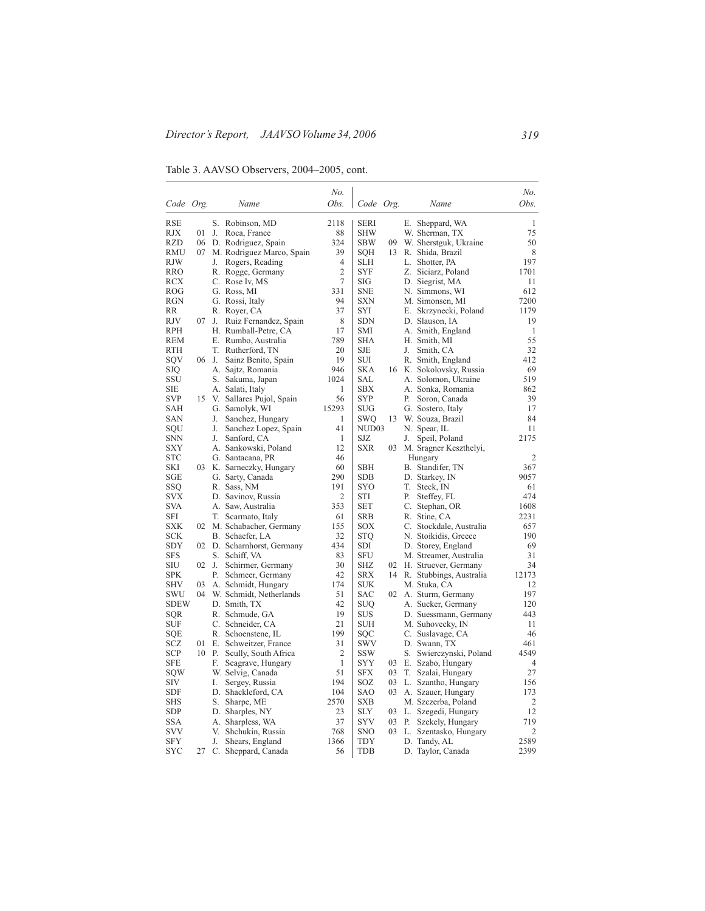Table 3. AAVSO Observers, 2004–2005, cont.

|                          |    |       |                                        | No.            |                          |          |    |                                       | No.            |
|--------------------------|----|-------|----------------------------------------|----------------|--------------------------|----------|----|---------------------------------------|----------------|
| Code Org.                |    |       | Name                                   | Obs.           | Code Org.                |          |    | Name                                  | Obs.           |
|                          |    |       |                                        |                |                          |          |    |                                       |                |
| <b>RSE</b>               |    |       | S. Robinson, MD                        | 2118           | <b>SERI</b>              |          |    | E. Sheppard, WA                       | $\mathbf{1}$   |
| <b>RJX</b>               | 01 | J.    | Roca, France                           | 88             | <b>SHW</b>               |          |    | W. Sherman, TX                        | 75             |
| RZD                      | 06 |       | D. Rodriguez, Spain                    | 324            | <b>SBW</b>               | 09       |    | W. Sherstguk, Ukraine                 | 50             |
| <b>RMU</b>               | 07 |       | M. Rodriguez Marco, Spain              | 39             | <b>SQH</b>               | 13       |    | R. Shida, Brazil                      | 8              |
| RJW                      |    | J.    | Rogers, Reading                        | 4              | <b>SLH</b>               |          |    | L. Shotter, PA                        | 197            |
| RRO                      |    |       | R. Rogge, Germany                      | 2              | SYF                      |          |    | Z. Siciarz, Poland                    | 1701           |
| RCX                      |    |       | C. Rose Iv, MS                         | 7              | SIG                      |          |    | D. Siegrist, MA                       | 11             |
| ROG                      |    |       | G. Ross, MI                            | 331            | <b>SNE</b>               |          |    | N. Simmons, WI                        | 612            |
| RGN                      |    |       | G. Rossi, Italy                        | 94             | SXN                      |          |    | M. Simonsen, MI                       | 7200           |
| RR                       |    |       | R. Royer, CA                           | 37             | SYI                      |          |    | E. Skrzynecki, Poland                 | 1179           |
| RJV                      | 07 | J.    | Ruiz Fernandez, Spain                  | 8              | <b>SDN</b>               |          |    | D. Slauson, IA                        | 19             |
| <b>RPH</b>               |    |       | H. Rumball-Petre, CA                   | 17             | SMI                      |          |    | A. Smith, England                     | $\mathbf{1}$   |
| REM                      |    |       | E. Rumbo, Australia                    | 789            | SHA                      |          |    | H. Smith, MI                          | 55             |
| RTH                      |    |       | T. Rutherford, TN                      | 20             | SJE                      |          | J. | Smith, CA                             | 32             |
| SQV                      |    | 06 J. | Sainz Benito, Spain                    | 19             | SUI                      |          |    | R. Smith, England                     | 412            |
| SJQ                      |    |       | A. Sajtz, Romania                      | 946            | SKA                      |          |    | 16 K. Sokolovsky, Russia              | 69             |
| SSU                      |    |       | S. Sakuma, Japan                       | 1024           | SAL                      |          |    | A. Solomon, Ukraine                   | 519            |
| SIE                      |    |       | A. Salati, Italy                       | 1              | <b>SBX</b>               |          |    | A. Sonka, Romania                     | 862            |
| <b>SVP</b>               | 15 |       | V. Sallares Pujol, Spain               | 56             | <b>SYP</b>               |          | Р. | Soron, Canada                         | 39             |
| SAH                      |    |       | G. Samolyk, WI                         | 15293          | SUG                      |          |    | G. Sostero, Italy                     | 17             |
| SAN                      |    | J.    | Sanchez, Hungary                       | 1              | SWQ                      | 13       |    | W. Souza, Brazil                      | 84             |
| SQU                      |    | J.    | Sanchez Lopez, Spain                   | 41             | NUD03                    |          |    | N. Spear, IL                          | 11             |
| <b>SNN</b>               |    | J.    | Sanford, CA                            | 1              | SJZ                      |          | J. | Speil, Poland                         | 2175           |
| SXY                      |    |       | A. Sankowski, Poland                   | 12             | SXR                      | 03       |    | M. Sragner Keszthelyi,                |                |
| STC                      |    |       | G. Santacana, PR                       | 46             |                          |          |    | Hungary                               | $\overline{2}$ |
| SKI                      | 03 |       | K. Sarneczky, Hungary                  | 60             | <b>SBH</b>               |          |    | B. Standifer, TN                      | 367            |
| SGE                      |    |       | G. Sarty, Canada                       | 290            | <b>SDB</b>               |          |    | D. Starkey, IN                        | 9057           |
| SSQ                      |    |       | R. Sass, NM                            | 191            | SYO                      |          |    | T. Steck, IN                          | 61             |
| SVX                      |    |       | D. Savinov, Russia                     | $\overline{c}$ | STI                      |          | Р. | Steffey, FL                           | 474            |
| SVA                      |    |       | A. Saw, Australia                      | 353            | SET                      |          |    | C. Stephan, OR                        | 1608           |
| SFI                      |    |       | T. Scarmato, Italy                     | 61             | <b>SRB</b>               |          |    | R. Stine, CA                          | 2231           |
| SXK                      |    |       | 02 M. Schabacher, Germany              | 155            | SOX                      |          |    | C. Stockdale, Australia               | 657            |
| SCK                      |    |       | B. Schaefer, LA                        | 32             | STO                      |          |    | N. Stoikidis, Greece                  | 190            |
| SDY                      |    |       | 02 D. Scharnhorst, Germany             | 434            | SDI                      |          |    | D. Storey, England                    | 69             |
| <b>SFS</b>               |    |       | S. Schiff, VA                          | 83             | <b>SFU</b>               |          |    | M. Streamer, Australia                | 31             |
| SIU                      | 02 | J.    | Schirmer, Germany                      | 30             | SHZ                      |          |    | 02 H. Struever, Germany               | 34             |
| SPK                      |    | Р.    | Schmeer, Germany                       | 42             | SRX                      |          |    | 14 R. Stubbings, Australia            | 12173          |
| <b>SHV</b>               | 03 |       | A. Schmidt, Hungary                    | 174            | SUK                      |          |    | M. Stuka, CA                          | 12             |
| SWU                      | 04 |       | W. Schmidt, Netherlands                | 51             | SAC                      | 02       |    | A. Sturm, Germany                     | 197            |
| <b>SDEW</b>              |    |       | D. Smith, TX                           | 42             | SUQ                      |          |    | A. Sucker, Germany                    | 120            |
| SQR                      |    |       | R. Schmude, GA                         | 19             | SUS                      |          |    | D. Suessmann, Germany                 | 443            |
| SUF                      |    |       | C. Schneider, CA                       | 21             | SUH                      |          |    | M. Suhovecky, IN                      | 11             |
| SQE                      |    |       | R. Schoenstene, IL                     | 199            | SQC                      |          |    | C. Suslavage, CA                      | 46             |
| SCZ                      | 01 |       | E. Schweitzer, France                  | 31             | SWV                      |          |    | D. Swann, TX                          | 461<br>4549    |
| SCP                      |    |       | 10 P. Scully, South Africa             | 2              | <b>SSW</b>               |          |    | S. Swierczynski, Poland               |                |
| SFE                      |    | F.    | Seagrave, Hungary                      | 1              | <b>SYY</b>               | 03       |    | E. Szabo, Hungary                     | 4              |
| SOW<br>SIV               |    |       | W. Selvig, Canada                      | 51<br>194      | SFX<br>SOZ               | 03<br>03 |    | T. Szalai, Hungary                    | 27<br>156      |
| <b>SDF</b>               |    | I.    | Sergey, Russia                         | 104            | SAO                      | 03       |    | L. Szantho, Hungary                   | 173            |
|                          |    |       | D. Shackleford, CA                     |                |                          |          |    | A. Szauer, Hungary                    | $\overline{2}$ |
| <b>SHS</b><br><b>SDP</b> |    |       | S. Sharpe, ME                          | 2570<br>23     | <b>SXB</b><br><b>SLY</b> | 03       |    | M. Szczerba, Poland                   | 12             |
| SSA                      |    |       | D. Sharples, NY                        | 37             | <b>SYV</b>               | 03       |    | L. Szegedi, Hungary                   | 719            |
| SVV                      |    |       | A. Sharpless, WA                       | 768            | <b>SNO</b>               | 03       |    | P. Szekely, Hungary                   | 2              |
| <b>SFY</b>               |    | J.    | V. Shchukin, Russia<br>Shears, England | 1366           | TDY                      |          |    | L. Szentasko, Hungary<br>D. Tandy, AL | 2589           |
| SYC                      | 27 |       | C. Sheppard, Canada                    | 56             | <b>TDB</b>               |          |    | D. Taylor, Canada                     | 2399           |
|                          |    |       |                                        |                |                          |          |    |                                       |                |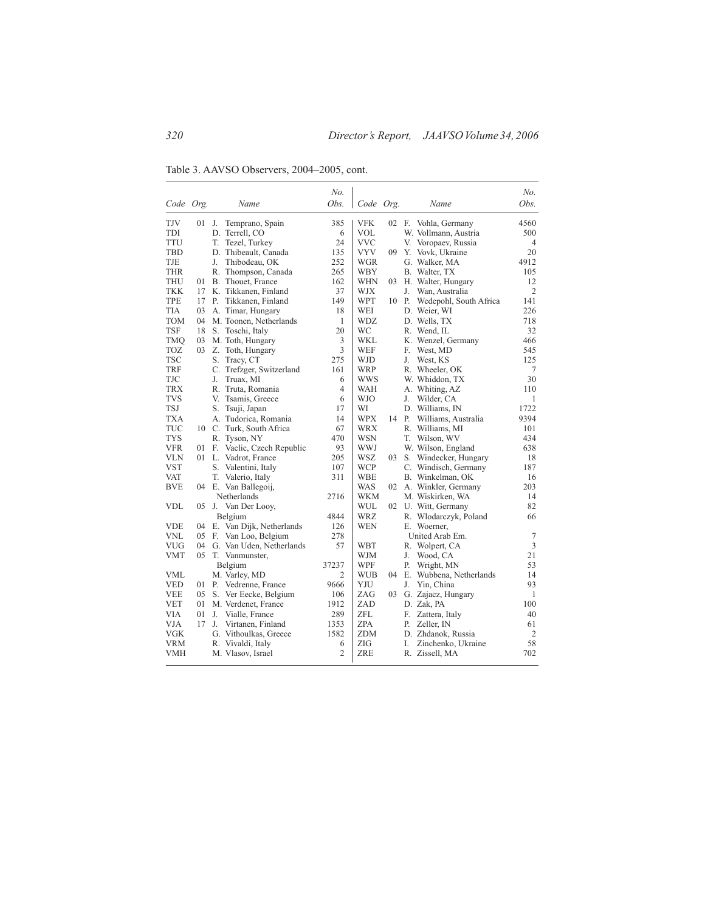Table 3. AAVSO Observers, 2004–2005, cont.

|            |    |                             | No.            |            |    |    |                         | No.            |
|------------|----|-----------------------------|----------------|------------|----|----|-------------------------|----------------|
| Code Org.  |    | Name                        | Obs.           | Code Org.  |    |    | Name                    | Obs.           |
| TJV        | 01 | J.<br>Temprano, Spain       | 385            | <b>VFK</b> | 02 | F. | Vohla, Germany          | 4560           |
| <b>TDI</b> |    | D. Terrell, CO              | 6              | VOL        |    |    | W. Vollmann, Austria    | 500            |
| <b>TTU</b> |    | T.<br>Tezel, Turkey         | 24             | VVC        |    |    | V. Voropaev, Russia     | $\overline{4}$ |
| <b>TBD</b> |    | D. Thibeault, Canada        | 135            | VYV        | 09 |    | Y. Vovk, Ukraine        | 20             |
| TJE        |    | J.<br>Thibodeau, OK         | 252            | WGR        |    |    | G. Walker, MA           | 4912           |
| <b>THR</b> |    | R. Thompson, Canada         | 265            | WBY        |    |    | B. Walter, TX           | 105            |
| <b>THU</b> | 01 | B. Thouet, France           | 162            | WHN        | 03 |    | H. Walter, Hungary      | 12             |
| <b>TKK</b> | 17 | K. Tikkanen, Finland        | 37             | <b>WJX</b> |    | J. | Wan, Australia          | $\overline{c}$ |
| <b>TPE</b> | 17 | Tikkanen, Finland<br>Р.     | 149            | WPT        | 10 | P. | Wedepohl, South Africa  | 141            |
| <b>TIA</b> | 03 | A. Timar, Hungary           | 18             | WEI        |    |    | D. Weier, WI            | 226            |
| <b>TOM</b> | 04 | M. Toonen, Netherlands      | 1              | <b>WDZ</b> |    |    | D. Wells, TX            | 718            |
| <b>TSF</b> | 18 | S. Toschi, Italy            | 20             | WС         |    |    | R. Wend, IL             | 32             |
| <b>TMQ</b> | 03 | M. Toth, Hungary            | 3              | WKL        |    |    | K. Wenzel, Germany      | 466            |
| <b>TOZ</b> | 03 | Z. Toth, Hungary            | 3              | <b>WEF</b> |    | F. | West, MD                | 545            |
| <b>TSC</b> |    | S.<br>Tracy, CT             | 275            | WJD        |    | J. | West, KS                | 125            |
| <b>TRF</b> |    | C. Trefzger, Switzerland    | 161            | <b>WRP</b> |    |    | R. Wheeler, OK          | 7              |
| TJC        |    | J.<br>Truax, MI             | 6              | wws        |    |    | W. Whiddon, TX          | 30             |
| <b>TRX</b> |    | R. Truta, Romania           | 4              | WAH        |    |    | A. Whiting, AZ          | 110            |
| <b>TVS</b> |    | V.<br>Tsamis, Greece        | 6              | WJO        |    | J. | Wilder, CA              | 1              |
| TSJ        |    | S. Tsuji, Japan             | 17             | WI         |    |    | D. Williams, IN         | 1722           |
| <b>TXA</b> |    | A. Tudorica, Romania        | 14             | WPX        | 14 |    | P. Williams, Australia  | 9394           |
| TUC        |    | 10 C. Turk, South Africa    | 67             | WRX        |    |    | R. Williams, MI         | 101            |
| <b>TYS</b> |    | R. Tyson, NY                | 470            | WSN        |    |    | T. Wilson, WV           | 434            |
| <b>VFR</b> | 01 | F. Vaclic, Czech Republic   | 93             | WWJ        |    |    | W. Wilson, England      | 638            |
| <b>VLN</b> |    | 01 L. Vadrot, France        | 205            | WSZ        | 03 |    | S. Windecker, Hungary   | 18             |
| <b>VST</b> |    | S. Valentini, Italy         | 107            | <b>WCP</b> |    |    | C. Windisch, Germany    | 187            |
| <b>VAT</b> |    | T.<br>Valerio, Italy        | 311            | <b>WBE</b> |    |    | B. Winkelman, OK        | 16             |
| <b>BVE</b> | 04 | E. Van Ballegoij,           |                | WAS        | 02 |    | A. Winkler, Germany     | 203            |
|            |    | Netherlands                 | 2716           | <b>WKM</b> |    |    | M. Wiskirken, WA        | 14             |
| <b>VDL</b> | 05 | J. Van Der Looy,            |                | WUL        |    |    | 02 U. Witt, Germany     | 82             |
|            |    | Belgium                     | 4844           | WRZ        |    |    | R. Wlodarczyk, Poland   | 66             |
| <b>VDE</b> |    | 04 E. Van Dijk, Netherlands | 126            | WEN        |    |    | E. Woerner.             |                |
| <b>VNL</b> |    | 05 F. Van Loo, Belgium      | 278            |            |    |    | United Arab Em.         | 7              |
| <b>VUG</b> | 04 | G. Van Uden, Netherlands    | 57             | WBT        |    |    | R. Wolpert, CA          | 3              |
| <b>VMT</b> |    | 05 T. Vanmunster,           |                | WJM        |    | J. | Wood, CA                | 21             |
|            |    | Belgium                     | 37237          | WPF        |    | Р. | Wright, MN              | 53             |
| VML        |    | M. Varley, MD               | $\overline{c}$ | WUB        | 04 |    | E. Wubbena, Netherlands | 14             |
| <b>VED</b> | 01 | P. Vedrenne, France         | 9666           | YJU        |    | J. | Yin, China              | 93             |
| <b>VEE</b> | 05 | S. Ver Eecke, Belgium       | 106            | ZAG        | 03 |    | G. Zajacz, Hungary      | $\mathbf{1}$   |
| <b>VET</b> | 01 | M. Verdenet, France         | 1912           | <b>ZAD</b> |    |    | D. Zak, PA              | 100            |
| <b>VIA</b> | 01 | J. Vialle, France           | 289            | ZFL        |    | F. | Zattera, Italy          | 40             |
| <b>VJA</b> | 17 | J. Virtanen, Finland        | 1353           | <b>ZPA</b> |    | Р. | Zeller, IN              | 61             |
| <b>VGK</b> |    | G. Vithoulkas, Greece       | 1582           | <b>ZDM</b> |    |    | D. Zhdanok, Russia      | 2              |
| <b>VRM</b> |    | R. Vivaldi, Italy           | 6              | ZIG        |    | I. | Zinchenko, Ukraine      | 58             |
| <b>VMH</b> |    | M. Vlasov, Israel           | $\overline{c}$ | ZRE        |    |    | R. Zissell, MA          | 702            |